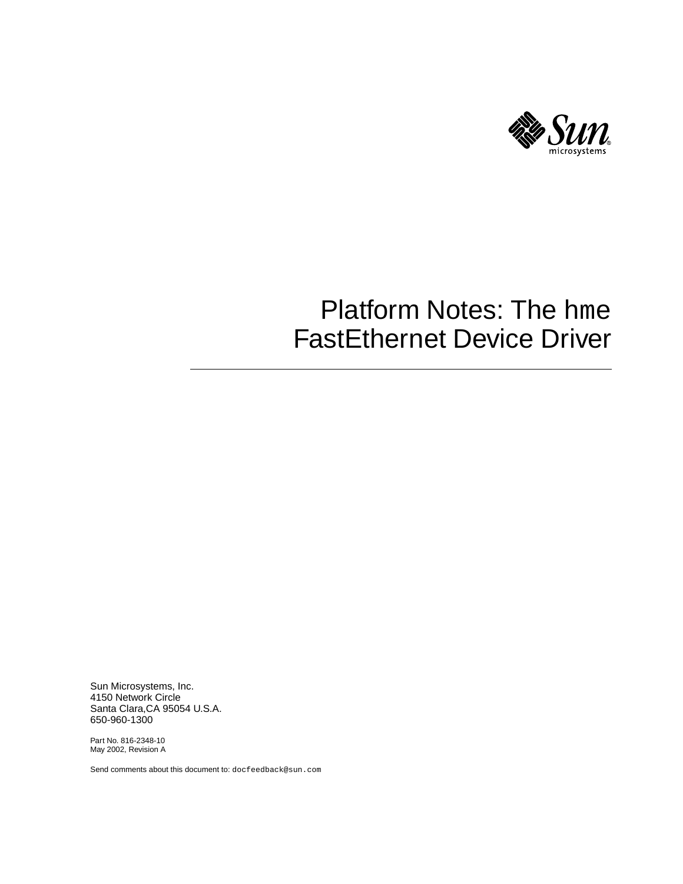

# Platform Notes: The hme FastEthernet Device Driver

Sun Microsystems, Inc. 4150 Network Circle Santa Clara,CA 95054 U.S.A. 650-960-1300

Part No. 816-2348-10 May 2002, Revision A

Send comments about this document to: docfeedback@sun.com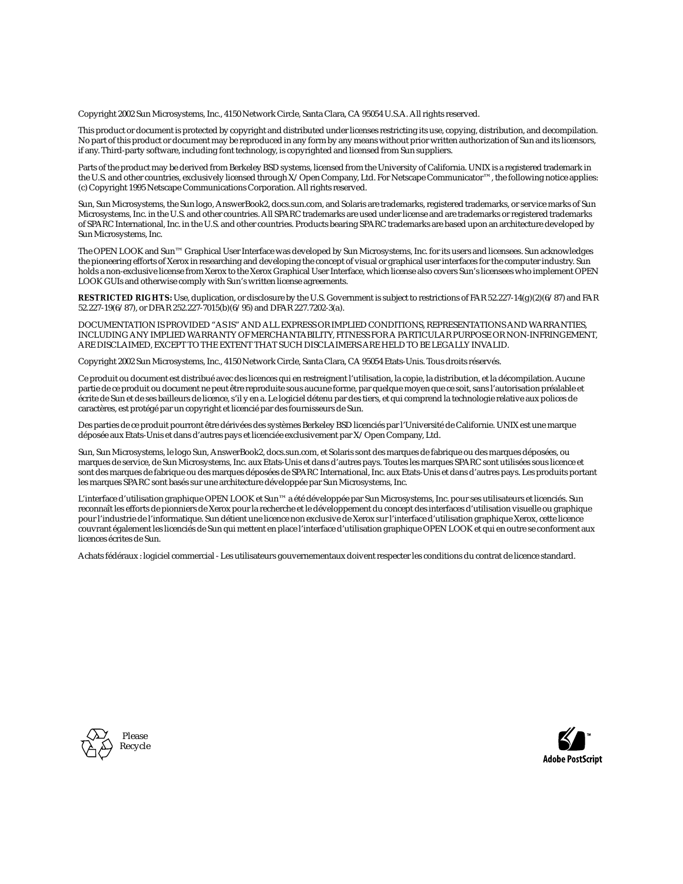Copyright 2002 Sun Microsystems, Inc., 4150 Network Circle, Santa Clara, CA 95054 U.S.A. All rights reserved.

This product or document is protected by copyright and distributed under licenses restricting its use, copying, distribution, and decompilation. No part of this product or document may be reproduced in any form by any means without prior written authorization of Sun and its licensors, if any. Third-party software, including font technology, is copyrighted and licensed from Sun suppliers.

Parts of the product may be derived from Berkeley BSD systems, licensed from the University of California. UNIX is a registered trademark in the U.S. and other countries, exclusively licensed through X/Open Company, Ltd. For Netscape Communicator™, the following notice applies: (c) Copyright 1995 Netscape Communications Corporation. All rights reserved.

Sun, Sun Microsystems, the Sun logo, AnswerBook2, docs.sun.com, and Solaris are trademarks, registered trademarks, or service marks of Sun Microsystems, Inc. in the U.S. and other countries. All SPARC trademarks are used under license and are trademarks or registered trademarks of SPARC International, Inc. in the U.S. and other countries. Products bearing SPARC trademarks are based upon an architecture developed by Sun Microsystems, Inc.

The OPEN LOOK and Sun™ Graphical User Interface was developed by Sun Microsystems, Inc. for its users and licensees. Sun acknowledges the pioneering efforts of Xerox in researching and developing the concept of visual or graphical user interfaces for the computer industry. Sun holds a non-exclusive license from Xerox to the Xerox Graphical User Interface, which license also covers Sun's licensees who implement OPEN LOOK GUIs and otherwise comply with Sun's written license agreements.

**RESTRICTED RIGHTS:** Use, duplication, or disclosure by the U.S. Government is subject to restrictions of FAR 52.227-14(g)(2)(6/87) and FAR 52.227-19(6/87), or DFAR 252.227-7015(b)(6/95) and DFAR 227.7202-3(a).

DOCUMENTATION IS PROVIDED "AS IS" AND ALL EXPRESS OR IMPLIED CONDITIONS, REPRESENTATIONS AND WARRANTIES, INCLUDING ANY IMPLIED WARRANTY OF MERCHANTABILITY, FITNESS FOR A PARTICULAR PURPOSE OR NON-INFRINGEMENT, ARE DISCLAIMED, EXCEPT TO THE EXTENT THAT SUCH DISCLAIMERS ARE HELD TO BE LEGALLY INVALID.

Copyright 2002 Sun Microsystems, Inc., 4150 Network Circle, Santa Clara, CA 95054 Etats-Unis. Tous droits réservés.

Ce produit ou document est distribué avec des licences qui en restreignent l'utilisation, la copie, la distribution, et la décompilation. Aucune partie de ce produit ou document ne peut être reproduite sous aucune forme, par quelque moyen que ce soit, sans l'autorisation préalable et écrite de Sun et de ses bailleurs de licence, s'il y en a. Le logiciel détenu par des tiers, et qui comprend la technologie relative aux polices de caractères, est protégé par un copyright et licencié par des fournisseurs de Sun.

Des parties de ce produit pourront être dérivées des systèmes Berkeley BSD licenciés par l'Université de Californie. UNIX est une marque déposée aux Etats-Unis et dans d'autres pays et licenciée exclusivement par X/Open Company, Ltd.

Sun, Sun Microsystems, le logo Sun, AnswerBook2, docs.sun.com, et Solaris sont des marques de fabrique ou des marques déposées, ou marques de service, de Sun Microsystems, Inc. aux Etats-Unis et dans d'autres pays. Toutes les marques SPARC sont utilisées sous licence et sont des marques de fabrique ou des marques déposées de SPARC International, Inc. aux Etats-Unis et dans d'autres pays. Les produits portant les marques SPARC sont basés sur une architecture développée par Sun Microsystems, Inc.

L'interface d'utilisation graphique OPEN LOOK et Sun™ a été développée par Sun Microsystems, Inc. pour ses utilisateurs et licenciés. Sun reconnaît les efforts de pionniers de Xerox pour la recherche et le développement du concept des interfaces d'utilisation visuelle ou graphique pour l'industrie de l'informatique. Sun détient une licence non exclusive de Xerox sur l'interface d'utilisation graphique Xerox, cette licence couvrant également les licenciés de Sun qui mettent en place l'interface d'utilisation graphique OPEN LOOK et qui en outre se conforment aux licences écrites de Sun.

Achats fédéraux : logiciel commercial - Les utilisateurs gouvernementaux doivent respecter les conditions du contrat de licence standard.



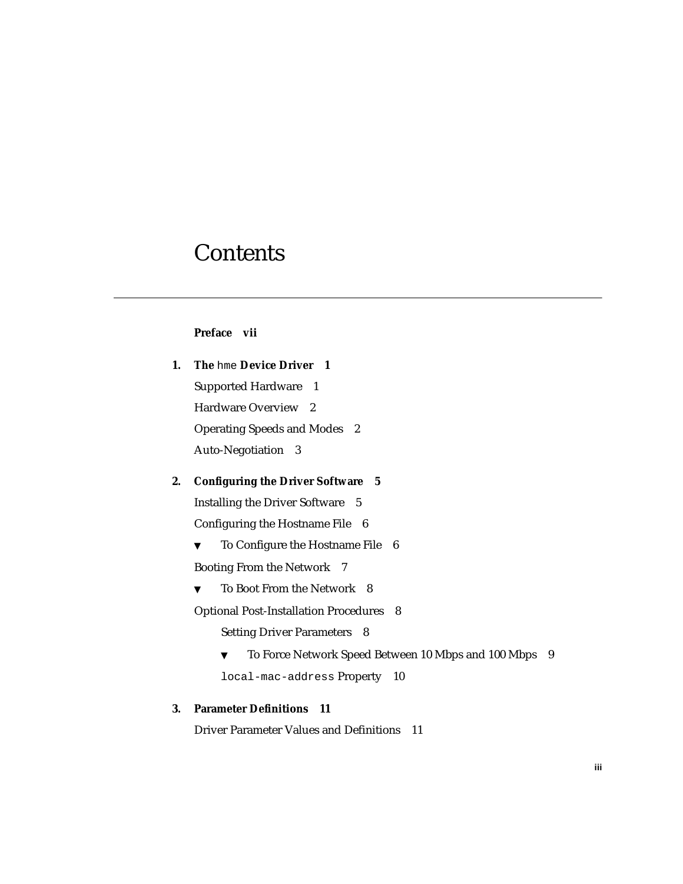# **Contents**

#### **[Preface](#page-6-0) vii**

| 1. | The hme Device Driver 1                             |     |
|----|-----------------------------------------------------|-----|
|    | Supported Hardware 1                                |     |
|    | Hardware Overview 2                                 |     |
|    | <b>Operating Speeds and Modes</b> 2                 |     |
|    | Auto-Negotiation 3                                  |     |
| 2. | <b>Configuring the Driver Software</b> 5            |     |
|    | <b>Installing the Driver Software</b><br>- 5        |     |
|    | Configuring the Hostname File<br>- 6                |     |
|    | To Configure the Hostname File 6                    |     |
|    | Booting From the Network 7                          |     |
|    | To Boot From the Network 8                          |     |
|    | <b>Optional Post-Installation Procedures 8</b>      |     |
|    | <b>Setting Driver Parameters 8</b>                  |     |
|    | To Force Network Speed Between 10 Mbps and 100 Mbps | - 9 |
|    | local-mac-address Property 10                       |     |
|    |                                                     |     |

#### **3. [Parameter Definitions](#page-20-0) 11**

[Driver Parameter Values and Definitions 1](#page-20-1)1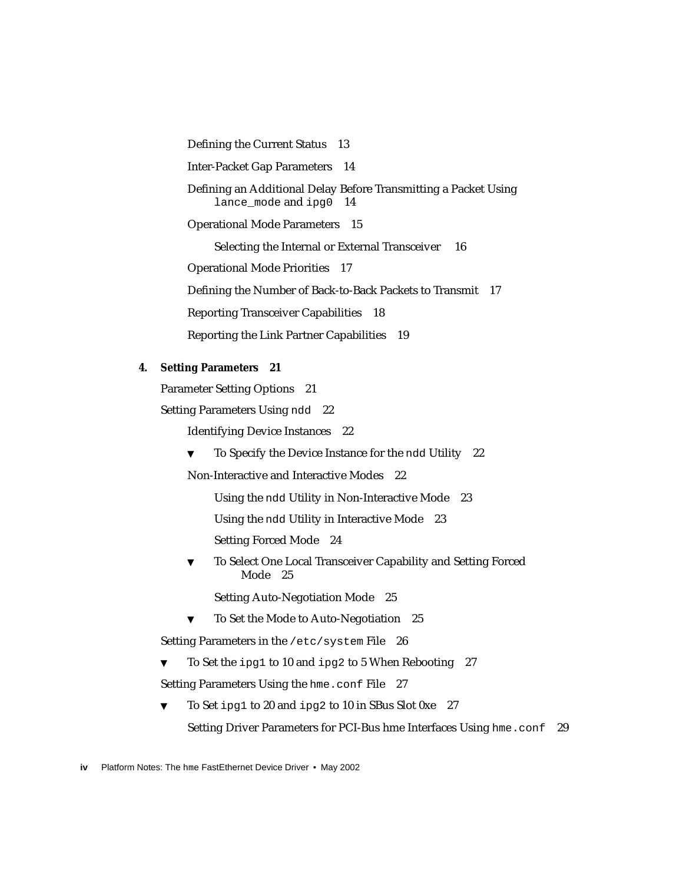[Defining the Current Status 1](#page-22-0)3 [Inter-Packet Gap Parameters 1](#page-23-0)4 [Defining an Additional Delay Before Transmitting a Packet Using](#page-23-1) lance mode and ipg0 14 [Operational Mode Parameters](#page-24-0) 15 [Selecting the Internal or External Transceiver](#page-25-0) 16 [Operational Mode Priorities](#page-26-0) 17 [Defining the Number of Back-to-Back Packets to Transmit 1](#page-26-1)7 [Reporting Transceiver Capabilities](#page-27-0) 18 [Reporting the Link Partner Capabilities](#page-28-0) 19

#### **4. [Setting Parameters 2](#page-30-0)1**

[Parameter Setting Options 2](#page-30-1)1

[Setting Parameters Using](#page-31-0) ndd 22

[Identifying Device Instances 2](#page-31-1)2

[To Specify the Device Instance for the](#page-31-2) ndd Utility 22

[Non-Interactive and Interactive Modes 2](#page-31-3)2

[Using the](#page-32-0) ndd Utility in Non-Interactive Mode 23

[Using the](#page-32-1) ndd Utility in Interactive Mode 23

[Setting Forced Mode 2](#page-33-0)4

▼ [To Select One Local Transceiver Capability and Setting Forced](#page-34-0) [Mode](#page-34-0) 25

[Setting Auto-Negotiation Mode](#page-34-1) 25

[To Set the Mode to Auto-Negotiation](#page-34-2) 25

[Setting Parameters in the](#page-35-0) /etc/system File 26

[To Set the](#page-36-0) ipg1 to 10 and ipg2 to 5 When Rebooting  $27$ 

[Setting Parameters Using the](#page-36-1) hme.conf File 27

▼ [To Set](#page-36-2) ipg1 to 20 and ipg2 to 10 in SBus Slot 0xe 27

[Setting Driver Parameters for PCI-Bus hme Interfaces Using](#page-38-0) hme.conf 29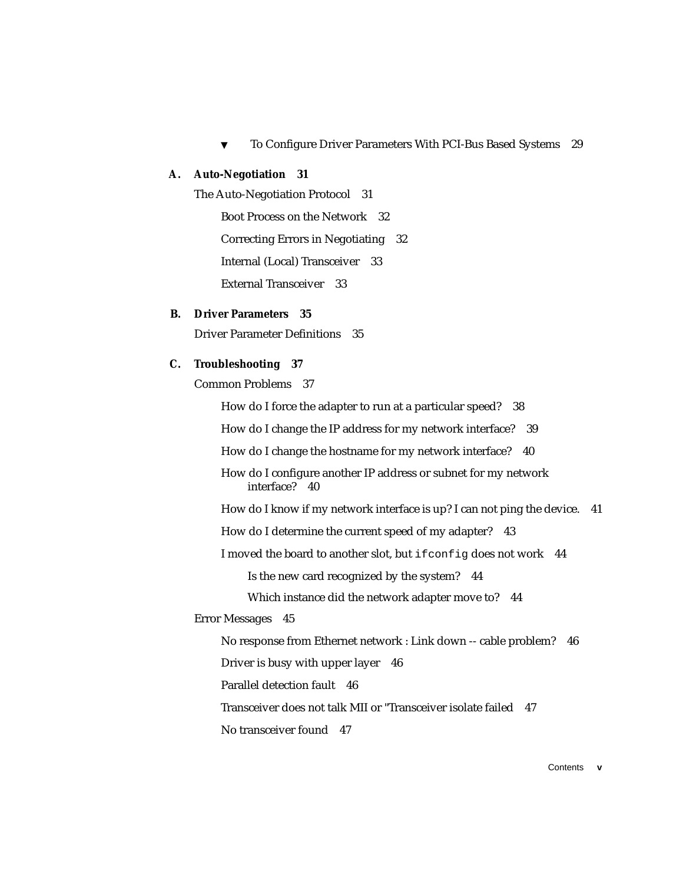▼ [To Configure Driver Parameters With PCI-Bus Based Systems](#page-38-1) 29

#### **A. [Auto-Negotiation](#page-40-0) 31**

[The Auto-Negotiation Protocol](#page-40-1) 31

[Boot Process on the Network 3](#page-41-0)2 [Correcting Errors in Negotiating 3](#page-41-1)2 [Internal \(Local\) Transceiver](#page-42-0) 33 [External Transceiver](#page-42-1) 33

#### **B. [Driver Parameters 3](#page-44-0)5**

[Driver Parameter Definitions](#page-44-1) 35

#### **C. [Troubleshooting](#page-46-0) 37**

[Common Problems](#page-46-1) 37

[How do I force the adapter to run at a particular speed? 3](#page-47-0)8 [How do I change the IP address for my network interface? 3](#page-48-0)9 [How do I change the hostname for my network interface? 4](#page-49-0)0 [How do I configure another IP address or subnet for my network](#page-49-1) [interface? 4](#page-49-1)0 [How do I know if my network interface is up? I can not ping the device. 4](#page-50-0)1 [How do I determine the current speed of my adapter? 4](#page-52-0)3 [I moved the board to another slot, but](#page-53-0) if config does not work 44 [Is the new card recognized by the system?](#page-53-1) 44 [Which instance did the network adapter move to? 4](#page-53-2)4 [Error Messages 4](#page-54-0)5 [No response from Ethernet network : Link down -- cable problem?](#page-55-0) 46 [Driver is busy with upper layer 4](#page-55-1)6 [Parallel detection fault](#page-55-2) 46 [Transceiver does not talk MII or "Transceiver isolate failed](#page-56-0) 47 [No transceiver found](#page-56-1) 47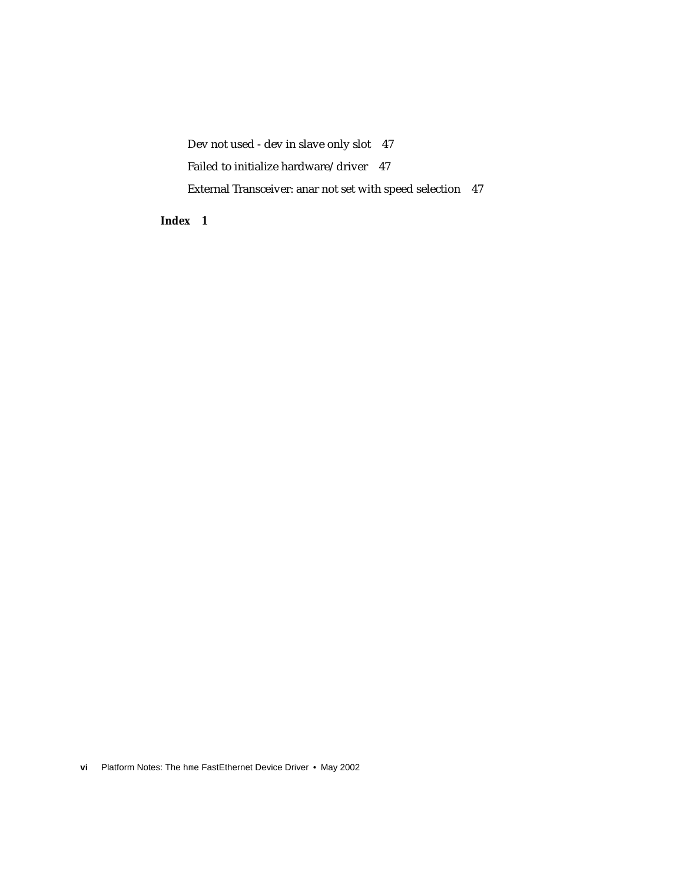[Dev not used - dev in slave only slot 4](#page-56-2)7 [Failed to initialize hardware/driver 4](#page-56-3)7 [External Transceiver: anar not set with speed selection 4](#page-56-4)7

**[Index 1](#page-58-0)**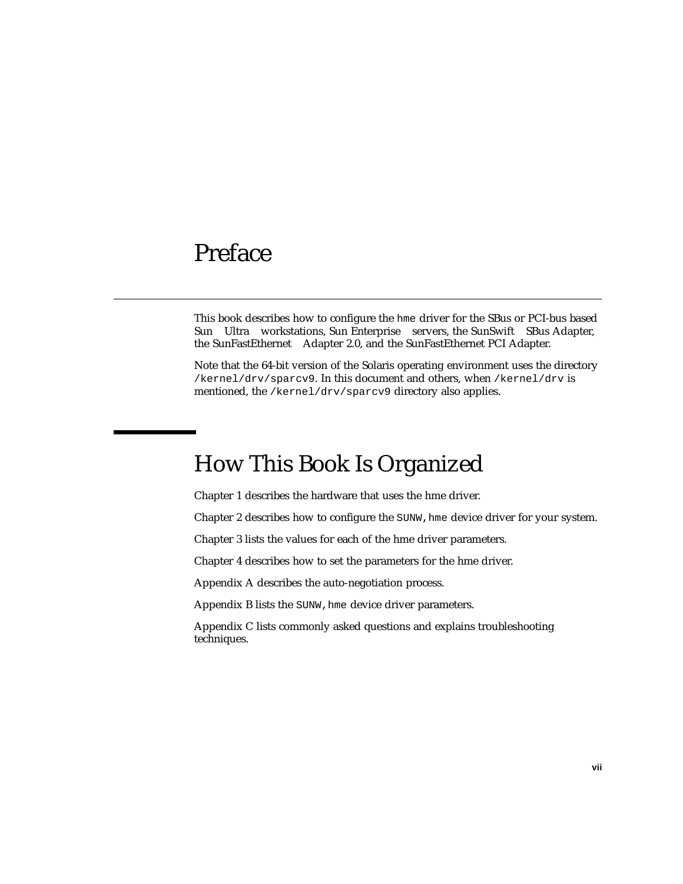# <span id="page-6-0"></span>Preface

This book describes how to configure the hme driver for the SBus or PCI-bus based Sun™ Ultra™ workstations, Sun Enterprise™ servers, the SunSwift™ SBus Adapter, the SunFastEthernet™ Adapter 2.0, and the SunFastEthernet PCI Adapter.

Note that the 64-bit version of the Solaris operating environment uses the directory /kernel/drv/sparcv9. In this document and others, when /kernel/drv is mentioned, the /kernel/drv/sparcv9 directory also applies.

# How This Book Is Organized

[Chapter 1](#page-10-2) describes the hardware that uses the hme driver.

[Chapter 2](#page-14-2) describes how to configure the SUNW,hme device driver for your system.

[Chapter 3](#page-20-2) lists the values for each of the hme driver parameters.

[Chapter 4](#page-30-2) describes how to set the parameters for the hme driver.

[Appendix A](#page-40-2) describes the auto-negotiation process.

[Appendix B](#page-44-2) lists the SUNW,hme device driver parameters.

[Appendix C](#page-46-2) lists commonly asked questions and explains troubleshooting techniques.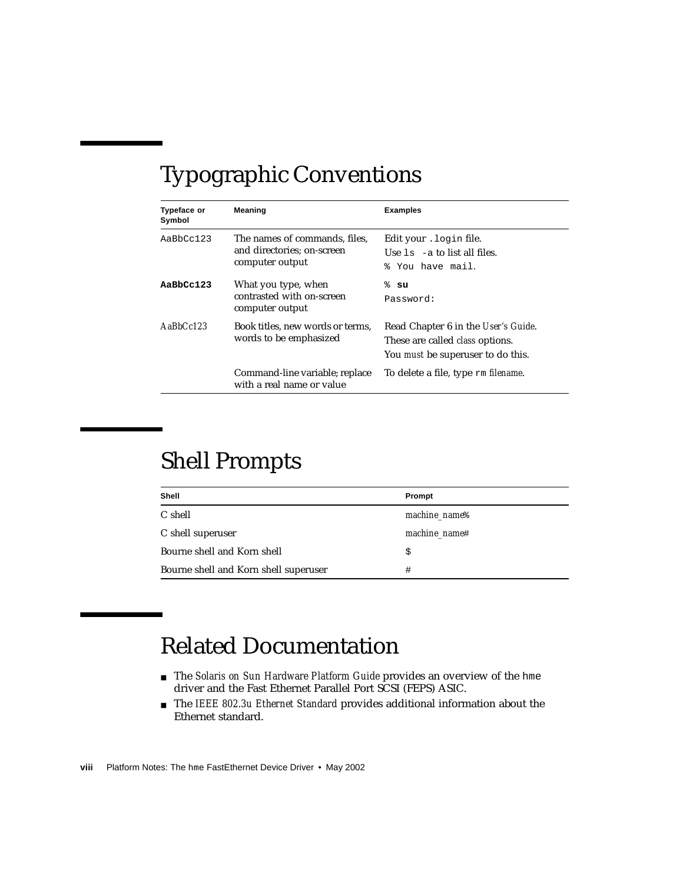# Typographic Conventions

| <b>Typeface or</b><br>Symbol | <b>Meaning</b>                                                                 | <b>Examples</b>                                                                                                           |
|------------------------------|--------------------------------------------------------------------------------|---------------------------------------------------------------------------------------------------------------------------|
| AaBbCc123                    | The names of commands, files,<br>and directories; on-screen<br>computer output | Edit your . login file.<br>Use $1s$ -a to list all files.<br>You have mail.<br>⊱                                          |
| AaBbCc123                    | What you type, when<br>contrasted with on-screen<br>computer output            | ៖ su<br>Password:                                                                                                         |
| $A$ a $BbCc123$              | Book titles, new words or terms,<br>words to be emphasized                     | Read Chapter 6 in the User's Guide.<br>These are called <i>class</i> options.<br>You <i>must</i> be superuser to do this. |
|                              | Command-line variable; replace<br>with a real name or value                    | To delete a file, type rm filename.                                                                                       |

# Shell Prompts

| Shell                                 | Prompt                    |
|---------------------------------------|---------------------------|
| C shell                               | machine name <sup>§</sup> |
| C shell superuser                     | machine name#             |
| Bourne shell and Korn shell           | \$                        |
| Bourne shell and Korn shell superuser | #                         |

# Related Documentation

- The *Solaris on Sun Hardware Platform Guide* provides an overview of the hme driver and the Fast Ethernet Parallel Port SCSI (FEPS) ASIC.
- The *IEEE 802.3u Ethernet Standard* provides additional information about the Ethernet standard.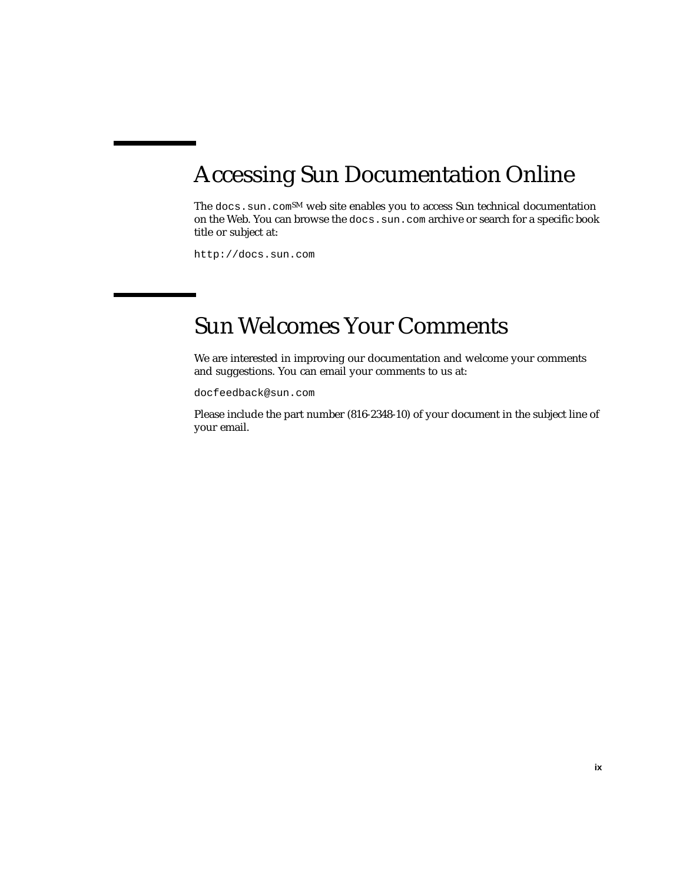# Accessing Sun Documentation Online

The docs.sun.com<sup>SM</sup> web site enables you to access Sun technical documentation on the Web. You can browse the docs.sun.com archive or search for a specific book title or subject at:

http://docs.sun.com

# Sun Welcomes Your Comments

We are interested in improving our documentation and welcome your comments and suggestions. You can email your comments to us at:

docfeedback@sun.com

Please include the part number (816-2348-10) of your document in the subject line of your email.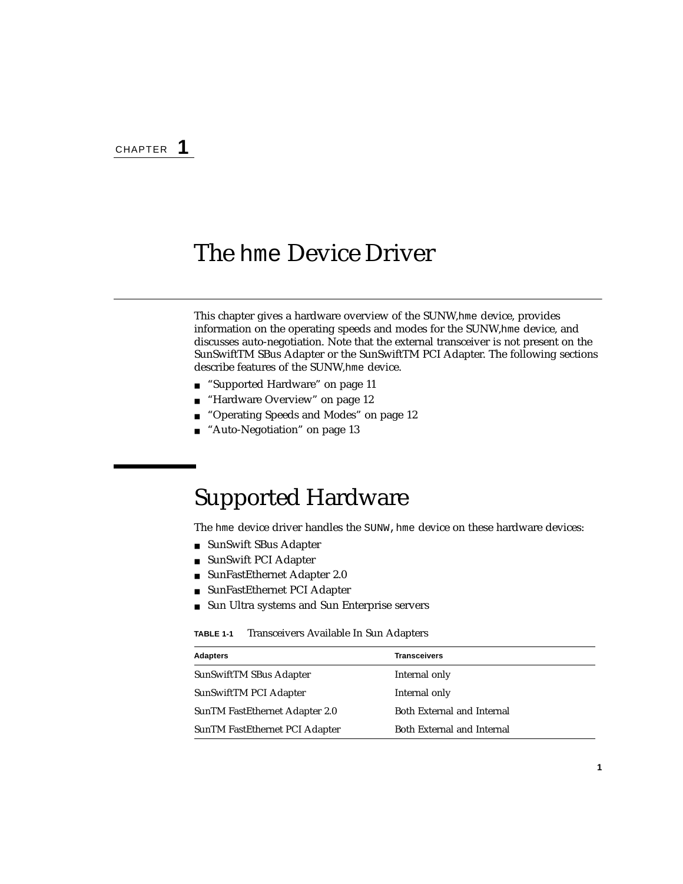## <span id="page-10-2"></span><span id="page-10-0"></span>The hme Device Driver

This chapter gives a hardware overview of the SUNW,hme device, provides information on the operating speeds and modes for the SUNW,hme device, and discusses auto-negotiation. Note that the external transceiver is not present on the SunSwiftTM SBus Adapter or the SunSwiftTM PCI Adapter. The following sections describe features of the SUNW,hme device.

- ["Supported Hardware" on page 11](#page-10-1)
- ["Hardware Overview" on page 12](#page-11-0)
- ["Operating Speeds and Modes" on page 12](#page-11-1)
- ["Auto-Negotiation" on page 13](#page-12-0)

# <span id="page-10-3"></span><span id="page-10-1"></span>Supported Hardware

The hme device driver handles the SUNW, hme device on these hardware devices:

- SunSwift SBus Adapter
- SunSwift PCI Adapter
- SunFastEthernet Adapter 2.0
- SunFastEthernet PCI Adapter
- Sun Ultra systems and Sun Enterprise servers

#### <span id="page-10-4"></span>**TABLE 1-1** Transceivers Available In Sun Adapters

| <b>Adapters</b>                | <b>Transceivers</b>               |
|--------------------------------|-----------------------------------|
| SunSwiftTM SBus Adapter        | Internal only                     |
| SunSwiftTM PCI Adapter         | Internal only                     |
| SunTM FastEthernet Adapter 2.0 | <b>Both External and Internal</b> |
| SunTM FastEthernet PCI Adapter | <b>Both External and Internal</b> |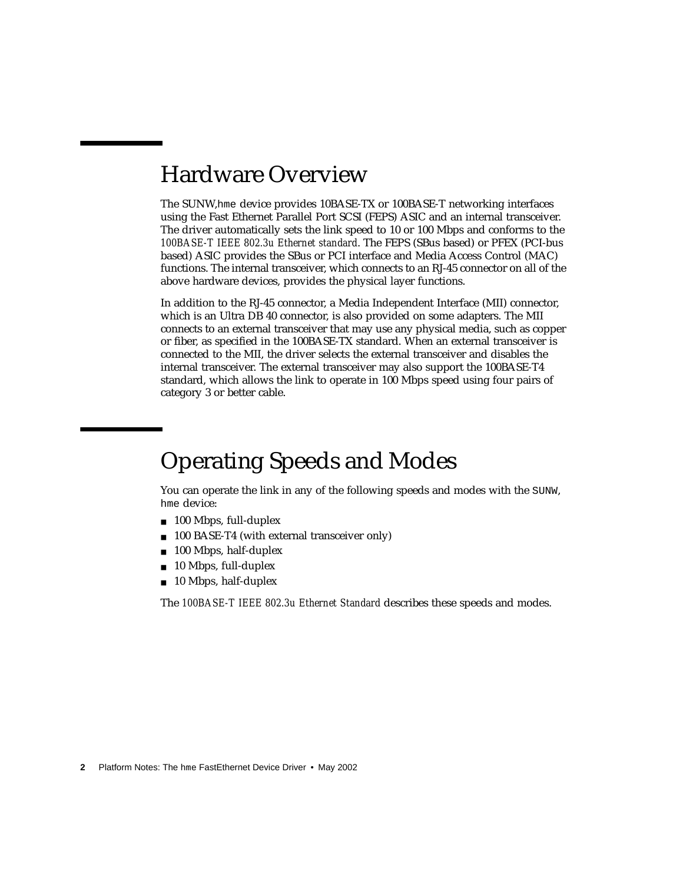# <span id="page-11-6"></span><span id="page-11-0"></span>Hardware Overview

<span id="page-11-8"></span><span id="page-11-7"></span><span id="page-11-5"></span>The SUNW,hme device provides 10BASE-TX or 100BASE-T networking interfaces using the Fast Ethernet Parallel Port SCSI (FEPS) ASIC and an internal transceiver. The driver automatically sets the link speed to 10 or 100 Mbps and conforms to the *100BASE-T IEEE 802.3u Ethernet standard*. The FEPS (SBus based) or PFEX (PCI-bus based) ASIC provides the SBus or PCI interface and Media Access Control (MAC) functions. The internal transceiver, which connects to an RJ-45 connector on all of the above hardware devices, provides the physical layer functions.

<span id="page-11-4"></span><span id="page-11-3"></span>In addition to the RJ-45 connector, a Media Independent Interface (MII) connector, which is an Ultra DB 40 connector, is also provided on some adapters. The MII connects to an external transceiver that may use any physical media, such as copper or fiber, as specified in the 100BASE-TX standard. When an external transceiver is connected to the MII, the driver selects the external transceiver and disables the internal transceiver. The external transceiver may also support the 100BASE-T4 standard, which allows the link to operate in 100 Mbps speed using four pairs of category 3 or better cable.

# <span id="page-11-2"></span><span id="page-11-1"></span>Operating Speeds and Modes

You can operate the link in any of the following speeds and modes with the SUNW, hme device:

- 100 Mbps, full-duplex
- 100 BASE-T4 (with external transceiver only)
- 100 Mbps, half-duplex
- 10 Mbps, full-duplex
- 10 Mbps, half-duplex

The *100BASE-T IEEE 802.3u Ethernet Standard* describes these speeds and modes.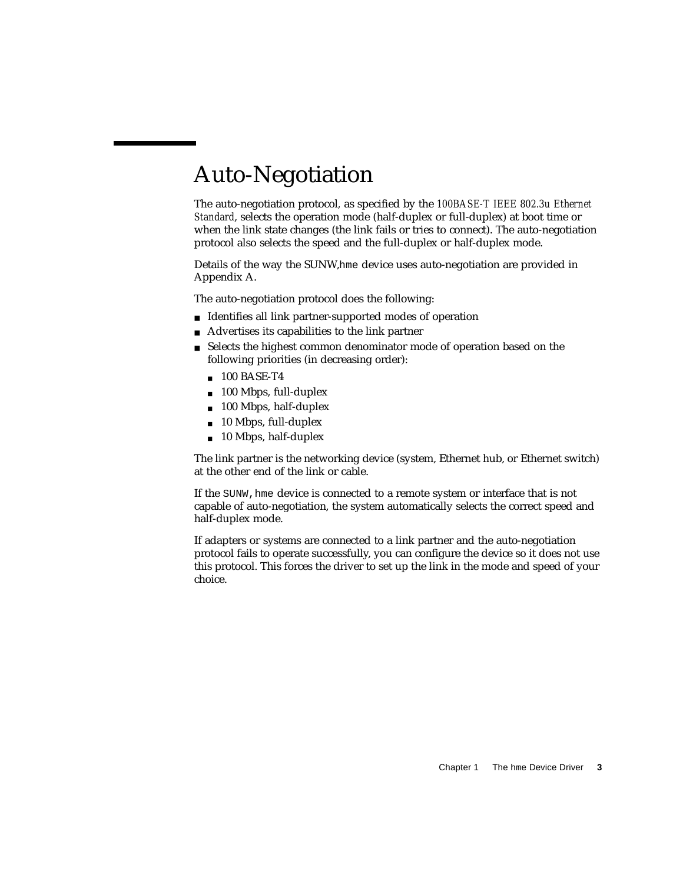# <span id="page-12-1"></span><span id="page-12-0"></span>Auto-Negotiation

The auto-negotiation protocol*,* as specified by the *100BASE-T IEEE 802.3u Ethernet Standard*, selects the operation mode (half-duplex or full-duplex) at boot time or when the link state changes (the link fails or tries to connect). The auto-negotiation protocol also selects the speed and the full-duplex or half-duplex mode.

Details of the way the SUNW,hme device uses auto-negotiation are provided in [Appendix A.](#page-40-2)

The auto-negotiation protocol does the following:

- Identifies all link partner-supported modes of operation
- Advertises its capabilities to the link partner
- Selects the highest common denominator mode of operation based on the following priorities (in decreasing order):
	- **100 BASE-T4**
	- 100 Mbps, full-duplex
	- 100 Mbps, half-duplex
	- 10 Mbps, full-duplex
	- 10 Mbps, half-duplex

<span id="page-12-2"></span>The link partner is the networking device (system, Ethernet hub, or Ethernet switch) at the other end of the link or cable.

If the SUNW,hme device is connected to a remote system or interface that is not capable of auto-negotiation, the system automatically selects the correct speed and half-duplex mode.

If adapters or systems are connected to a link partner and the auto-negotiation protocol fails to operate successfully, you can configure the device so it does not use this protocol. This forces the driver to set up the link in the mode and speed of your choice.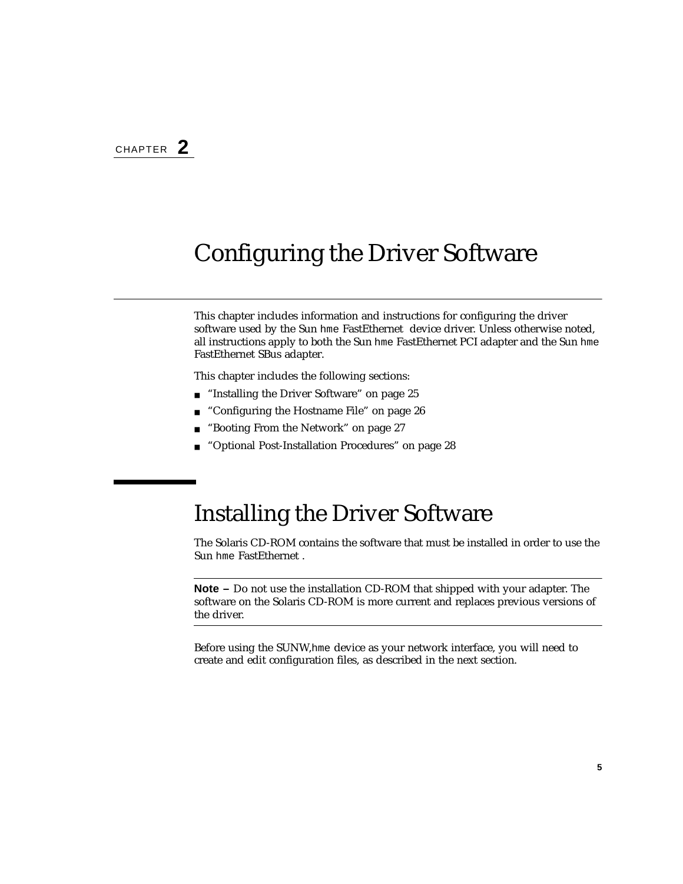# <span id="page-14-2"></span><span id="page-14-0"></span>Configuring the Driver Software

This chapter includes information and instructions for configuring the driver software used by the Sun hme FastEthernet device driver. Unless otherwise noted, all instructions apply to both the Sun hme FastEthernet PCI adapter and the Sun hme FastEthernet SBus adapter.

This chapter includes the following sections:

- ["Installing the Driver Software" on page 25](#page-14-1)
- ["Configuring the Hostname File" on page 26](#page-15-0)
- ["Booting From the Network" on page 27](#page-16-0)
- ["Optional Post-Installation Procedures" on page 28](#page-17-1)

# <span id="page-14-3"></span><span id="page-14-1"></span>Installing the Driver Software

<span id="page-14-4"></span>The Solaris CD-ROM contains the software that must be installed in order to use the Sun hme FastEthernet .

**Note –** Do not use the installation CD-ROM that shipped with your adapter. The software on the Solaris CD-ROM is more current and replaces previous versions of the driver.

Before using the SUNW,hme device as your network interface, you will need to create and edit configuration files, as described in the next section.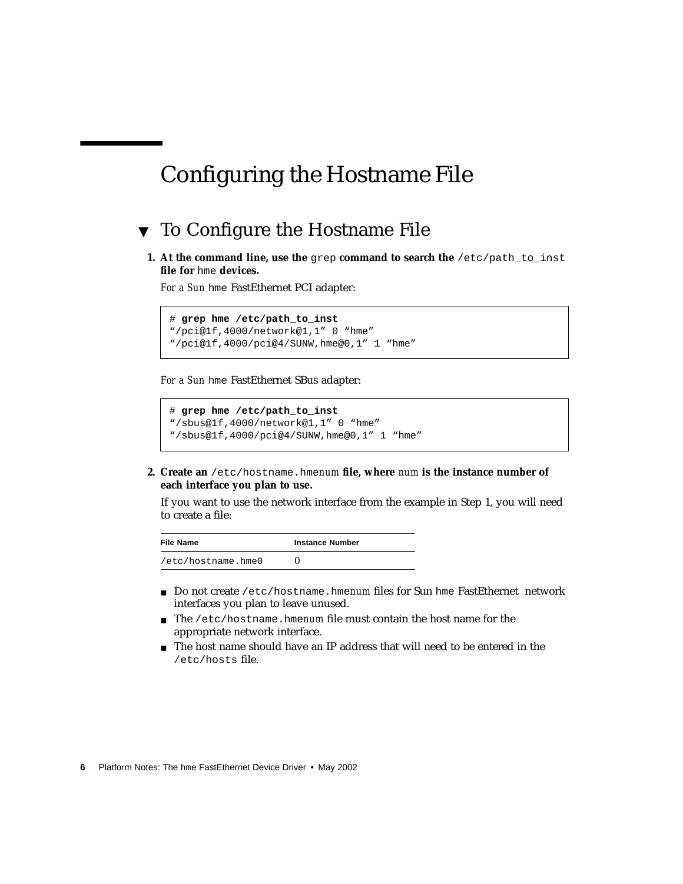# <span id="page-15-3"></span><span id="page-15-0"></span>Configuring the Hostname File

### <span id="page-15-8"></span><span id="page-15-2"></span><span id="page-15-1"></span>▼ To Configure the Hostname File

<span id="page-15-7"></span>**1. At the command line, use the grep command to search the** /etc/path\_to\_inst **file for** hme **devices.**

*For a Sun* hme FastEthernet PCI adapter:

```
# grep hme /etc/path_to_inst
"/pci@1f,4000/network@1,1" 0 "hme"
"/pci@1f,4000/pci@4/SUNW,hme@0,1" 1 "hme"
```
*For a Sun* hme FastEthernet SBus adapter:

```
# grep hme /etc/path_to_inst
"/sbus@1f,4000/network@1,1" 0 "hme"
"/sbus@1f,4000/pci@4/SUNW,hme@0,1" 1 "hme"
```
<span id="page-15-4"></span>**2. Create an** /etc/hostname.hme*num* **file, where** *num* **is the instance number of each interface you plan to use.**

If you want to use the network interface from the example in [Step 1](#page-15-2), you will need to create a file:

| File Name          | <b>Instance Number</b> |
|--------------------|------------------------|
| /etc/hostname.hme0 |                        |

- Do not create /etc/hostname.hme*num* files for Sun hme FastEthernet network interfaces you plan to leave unused.
- The /etc/hostname.hme*num* file must contain the host name for the appropriate network interface.
- <span id="page-15-5"></span>■ The host name should have an IP address that will need to be entered in the /etc/hosts file.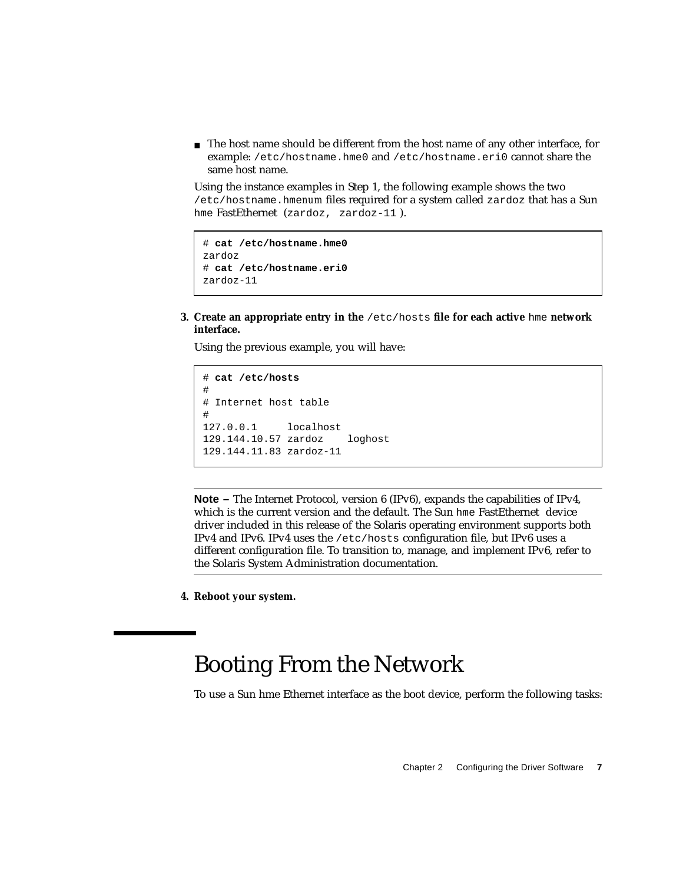■ The host name should be different from the host name of any other interface, for example: /etc/hostname.hme0 and /etc/hostname.eri0 cannot share the same host name.

Using the instance examples in [Step 1](#page-15-2), the following example shows the two /etc/hostname.hme*num* files required for a system called zardoz that has a Sun hme FastEthernet (zardoz, zardoz-11 ).

```
# cat /etc/hostname.hme0
zardoz
# cat /etc/hostname.eri0
zardoz-11
```
**3. Create an appropriate entry in the** /etc/hosts **file for each active** hme **network interface.**

<span id="page-16-3"></span>Using the previous example, you will have:

```
# cat /etc/hosts
#
# Internet host table
#
127.0.0.1 localhost
129.144.10.57 zardoz loghost
129.144.11.83 zardoz-11
```
<span id="page-16-4"></span>**Note –** The Internet Protocol, version 6 (IPv6), expands the capabilities of IPv4, which is the current version and the default. The Sun hme FastEthernet device driver included in this release of the Solaris operating environment supports both IPv4 and IPv6. IPv4 uses the /etc/hosts configuration file, but IPv6 uses a different configuration file. To transition to, manage, and implement IPv6, refer to the Solaris System Administration documentation.

**4. Reboot your system.**

# <span id="page-16-2"></span><span id="page-16-0"></span>Booting From the Network

<span id="page-16-1"></span>To use a Sun hme Ethernet interface as the boot device, perform the following tasks: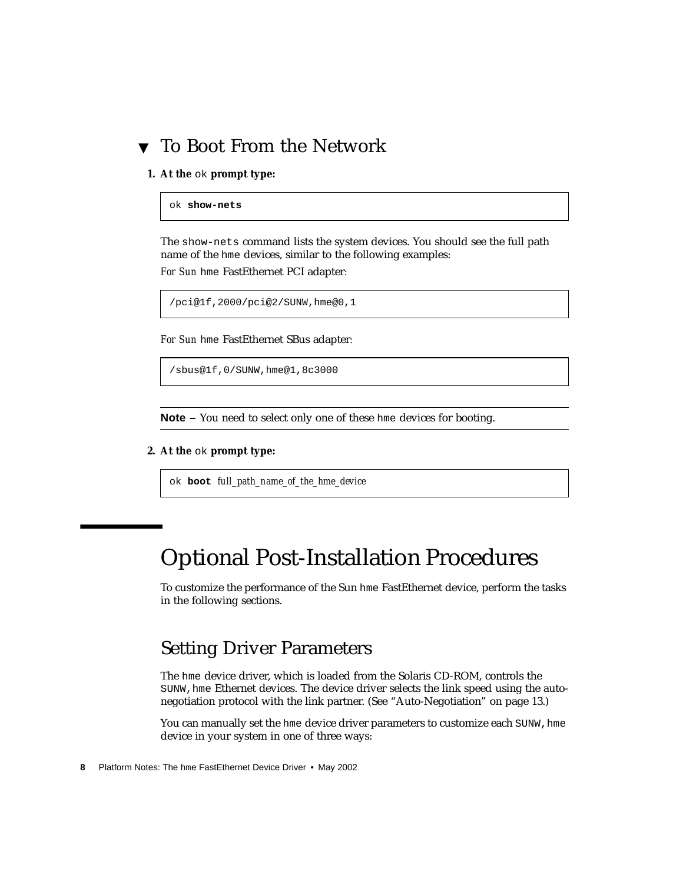### <span id="page-17-8"></span><span id="page-17-0"></span>▼ To Boot From the Network

**1. At the** ok **prompt type:**

<span id="page-17-3"></span>ok **show-nets**

<span id="page-17-6"></span>The show-nets command lists the system devices. You should see the full path name of the hme devices, similar to the following examples:

*For Sun* hme FastEthernet PCI adapter*:*

/pci@1f,2000/pci@2/SUNW,hme@0,1

*For Sun* hme FastEthernet SBus adapter*:*

/sbus@1f,0/SUNW,hme@1,8c3000

**Note –** You need to select only one of these hme devices for booting.

**2. At the** ok **prompt type:**

ok **boot** *full\_path\_name\_of\_the\_hme\_device*

# <span id="page-17-4"></span><span id="page-17-1"></span>Optional Post-Installation Procedures

To customize the performance of the Sun hme FastEthernet device, perform the tasks in the following sections.

### <span id="page-17-5"></span><span id="page-17-2"></span>Setting Driver Parameters

<span id="page-17-7"></span>The hme device driver, which is loaded from the Solaris CD-ROM, controls the SUNW,hme Ethernet devices. The device driver selects the link speed using the autonegotiation protocol with the link partner. (See ["Auto-Negotiation" on page 13](#page-12-1).)

You can manually set the hme device driver parameters to customize each SUNW, hme device in your system in one of three ways: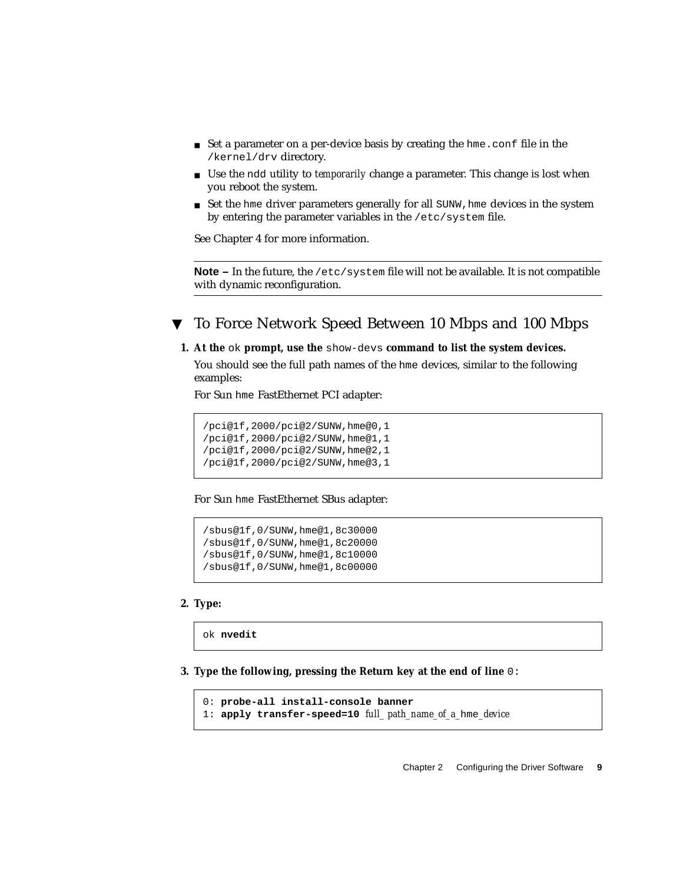- <span id="page-18-5"></span>■ Set a parameter on a per-device basis by creating the hme.conf file in the /kernel/drv directory.
- <span id="page-18-6"></span><span id="page-18-1"></span>■ Use the ndd utility to *temporarily* change a parameter. This change is lost when you reboot the system.
- <span id="page-18-4"></span>■ Set the hme driver parameters generally for all SUNW, hme devices in the system by entering the parameter variables in the /etc/system file.

See [Chapter 4](#page-30-2) for more information.

<span id="page-18-7"></span><span id="page-18-3"></span>**Note –** In the future, the /etc/system file will not be available. It is not compatible with dynamic reconfiguration.

#### <span id="page-18-9"></span><span id="page-18-0"></span>▼ To Force Network Speed Between 10 Mbps and 100 Mbps

**1. At the** ok **prompt, use the** show-devs **command to list the system devices.**

<span id="page-18-8"></span><span id="page-18-2"></span>You should see the full path names of the hme devices, similar to the following examples:

For Sun hme FastEthernet PCI adapter:

```
/pci@1f,2000/pci@2/SUNW,hme@0,1
/pci@1f,2000/pci@2/SUNW,hme@1,1
/pci@1f,2000/pci@2/SUNW,hme@2,1
/pci@1f,2000/pci@2/SUNW,hme@3,1
```
For Sun hme FastEthernet SBus adapter:

```
/sbus@1f,0/SUNW,hme@1,8c30000
/sbus@1f,0/SUNW,hme@1,8c20000
/sbus@1f,0/SUNW,hme@1,8c10000
/sbus@1f,0/SUNW,hme@1,8c00000
```
#### **2. Type:**

ok **nvedit**

**3. Type the following, pressing the Return key at the end of line** 0:

```
0: probe-all install-console banner
1: apply transfer-speed=10 full_ path_name_of_a_hme_device
```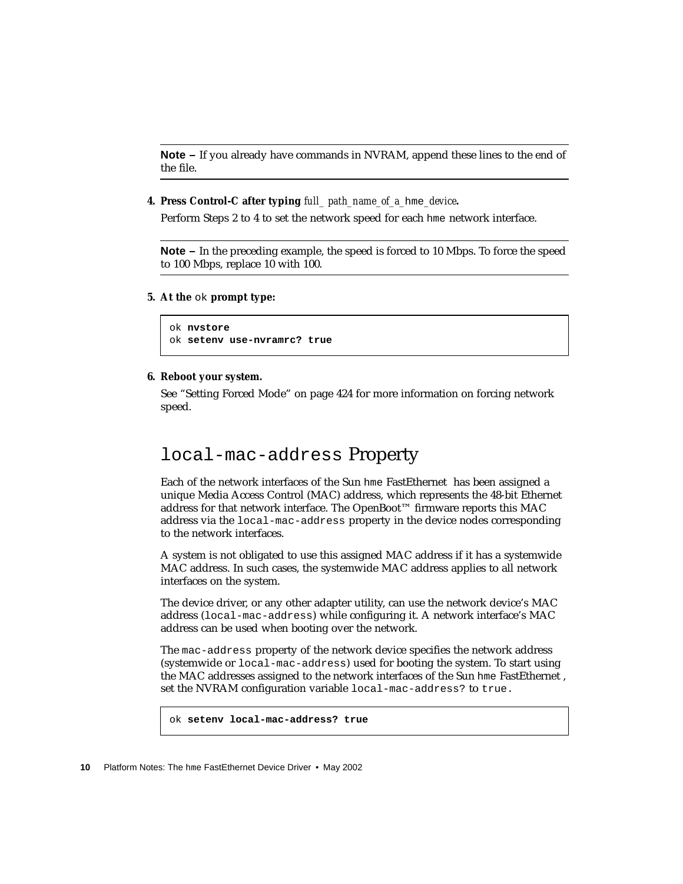**Note –** If you already have commands in NVRAM, append these lines to the end of the file.

**4. Press Control-C after typing** *full\_ path\_name\_of\_a\_*hme*\_device***.**

Perform Steps 2 to 4 to set the network speed for each hme network interface.

**Note –** In the preceding example, the speed is forced to 10 Mbps. To force the speed to 100 Mbps, replace 10 with 100.

**5. At the** ok **prompt type:**

```
ok nvstore
ok setenv use-nvramrc? true
```
#### **6. Reboot your system.**

See ["Setting Forced Mode" on page 424](#page-33-1) for more information on forcing network speed.

### <span id="page-19-3"></span><span id="page-19-0"></span>local-mac-address Property

<span id="page-19-5"></span>Each of the network interfaces of the Sun hme FastEthernet has been assigned a unique Media Access Control (MAC) address, which represents the 48-bit Ethernet address for that network interface. The OpenBoot™ firmware reports this MAC address via the local-mac-address property in the device nodes corresponding to the network interfaces.

A system is not obligated to use this assigned MAC address if it has a systemwide MAC address. In such cases, the systemwide MAC address applies to all network interfaces on the system.

The device driver, or any other adapter utility, can use the network device's MAC address (local-mac-address) while configuring it. A network interface's MAC address can be used when booting over the network.

The mac-address property of the network device specifies the network address (systemwide or local-mac-address) used for booting the system. To start using the MAC addresses assigned to the network interfaces of the Sun hme FastEthernet , set the NVRAM configuration variable local-mac-address? to true.

```
ok setenv local-mac-address? true
```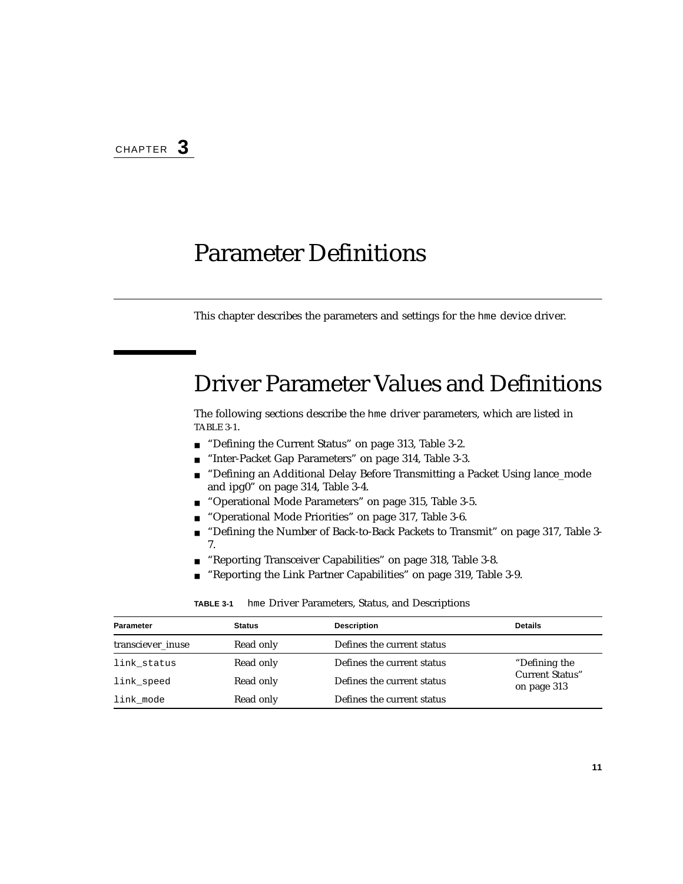## <span id="page-20-2"></span><span id="page-20-0"></span>Parameter Definitions

This chapter describes the parameters and settings for the hme device driver.

## <span id="page-20-4"></span><span id="page-20-1"></span>Driver Parameter Values and Definitions

The following sections describe the hme driver parameters, which are listed in [TABLE 3-1.](#page-20-3)

- ["Defining the Current Status" on page 313](#page-22-0), Table 3-2.
- ["Inter-Packet Gap Parameters" on page 314,](#page-23-0) Table 3-3.
- ["Defining an Additional Delay Before Transmitting a Packet Using lance\\_mode](#page-23-1) [and ipg0" on page 314](#page-23-1), Table 3-4.
- ["Operational Mode Parameters" on page 315](#page-24-0), Table 3-5.
- ["Operational Mode Priorities" on page 317](#page-26-0), Table 3-6.
- ["Defining the Number of Back-to-Back Packets to Transmit" on page 317,](#page-26-1) Table 3-7.
- ["Reporting Transceiver Capabilities" on page 318](#page-27-0), Table 3-8.
- ["Reporting the Link Partner Capabilities" on page 319,](#page-28-0) Table 3-9.

<span id="page-20-8"></span><span id="page-20-7"></span><span id="page-20-6"></span><span id="page-20-5"></span><span id="page-20-3"></span>

| Parameter         | <b>Status</b> | <b>Description</b>         | <b>Details</b>                         |
|-------------------|---------------|----------------------------|----------------------------------------|
| transciever inuse | Read only     | Defines the current status |                                        |
| link status       | Read only     | Defines the current status | "Defining the                          |
| link_speed        | Read only     | Defines the current status | <b>Current Status</b> "<br>on page 313 |
| link mode         | Read only     | Defines the current status |                                        |

#### **TABLE 3-1** hme Driver Parameters, Status, and Descriptions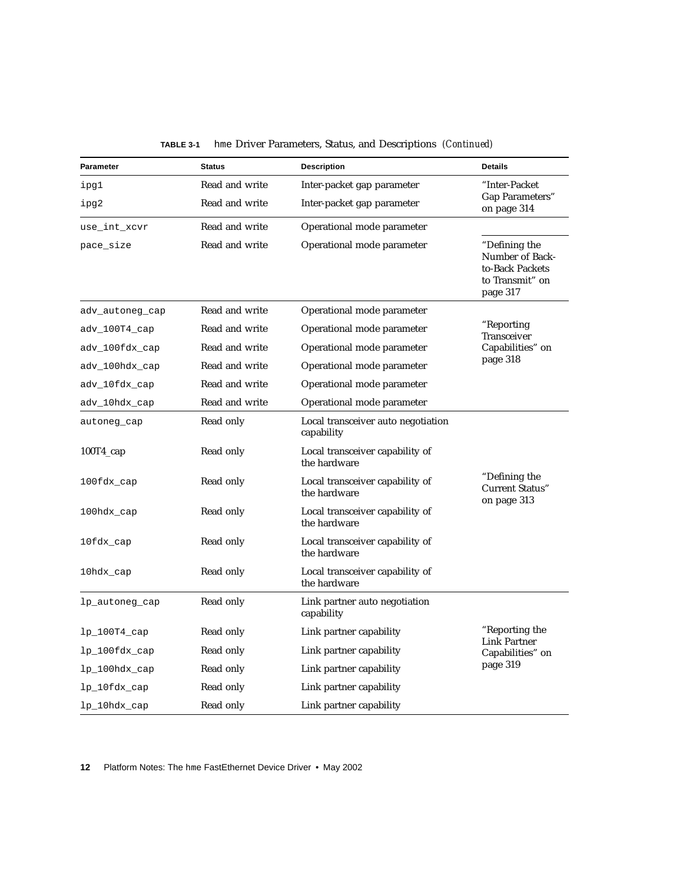<span id="page-21-17"></span><span id="page-21-16"></span><span id="page-21-15"></span><span id="page-21-14"></span><span id="page-21-13"></span><span id="page-21-12"></span><span id="page-21-11"></span><span id="page-21-10"></span><span id="page-21-9"></span><span id="page-21-8"></span><span id="page-21-7"></span><span id="page-21-6"></span><span id="page-21-5"></span><span id="page-21-4"></span><span id="page-21-3"></span><span id="page-21-2"></span><span id="page-21-1"></span><span id="page-21-0"></span>

| Parameter              | <b>Status</b>  | <b>Description</b>                               | <b>Details</b>                                                                     |  |
|------------------------|----------------|--------------------------------------------------|------------------------------------------------------------------------------------|--|
| ipgl                   | Read and write | Inter-packet gap parameter                       | "Inter-Packet                                                                      |  |
| ipg2                   | Read and write | Inter-packet gap parameter                       | <b>Gap Parameters</b> "<br>on page 314                                             |  |
| use_int_xcvr           | Read and write | Operational mode parameter                       |                                                                                    |  |
| pace_size              | Read and write | Operational mode parameter                       | "Defining the<br>Number of Back-<br>to-Back Packets<br>to Transmit" on<br>page 317 |  |
| adv_autoneg_cap        | Read and write | Operational mode parameter                       |                                                                                    |  |
| adv_100T4_cap          | Read and write | Operational mode parameter                       | "Reporting<br>Transceiver                                                          |  |
| adv_100fdx_cap         | Read and write | Operational mode parameter                       | Capabilities" on                                                                   |  |
| adv_100hdx_cap         | Read and write | Operational mode parameter                       | page 318                                                                           |  |
| adv_10fdx_cap          | Read and write | Operational mode parameter                       |                                                                                    |  |
| adv_10hdx_cap          | Read and write | Operational mode parameter                       |                                                                                    |  |
| autoneg_cap            | Read only      | Local transceiver auto negotiation<br>capability |                                                                                    |  |
| $100T4$ <sub>cap</sub> | Read only      | Local transceiver capability of<br>the hardware  |                                                                                    |  |
| 100fdx_cap             | Read only      | Local transceiver capability of<br>the hardware  | "Defining the<br><b>Current Status"</b><br>on page 313                             |  |
| 100hdx_cap             | Read only      | Local transceiver capability of<br>the hardware  |                                                                                    |  |
| $10fdx_cap$            | Read only      | Local transceiver capability of<br>the hardware  |                                                                                    |  |
| 10hdx_cap              | Read only      | Local transceiver capability of<br>the hardware  |                                                                                    |  |
| lp_autoneg_cap         | Read only      | Link partner auto negotiation<br>capability      |                                                                                    |  |
| $lp_100T4_cap$         | Read only      | Link partner capability                          | "Reporting the<br><b>Link Partner</b>                                              |  |
| lp_100fdx_cap          | Read only      | Link partner capability                          | Capabilities" on                                                                   |  |
| lp_100hdx_cap          | Read only      | Link partner capability                          | page 319                                                                           |  |
| lp_10fdx_cap           | Read only      | Link partner capability                          |                                                                                    |  |
| lp_10hdx_cap           | Read only      | Link partner capability                          |                                                                                    |  |

**TABLE 3-1** hme Driver Parameters, Status, and Descriptions *(Continued)*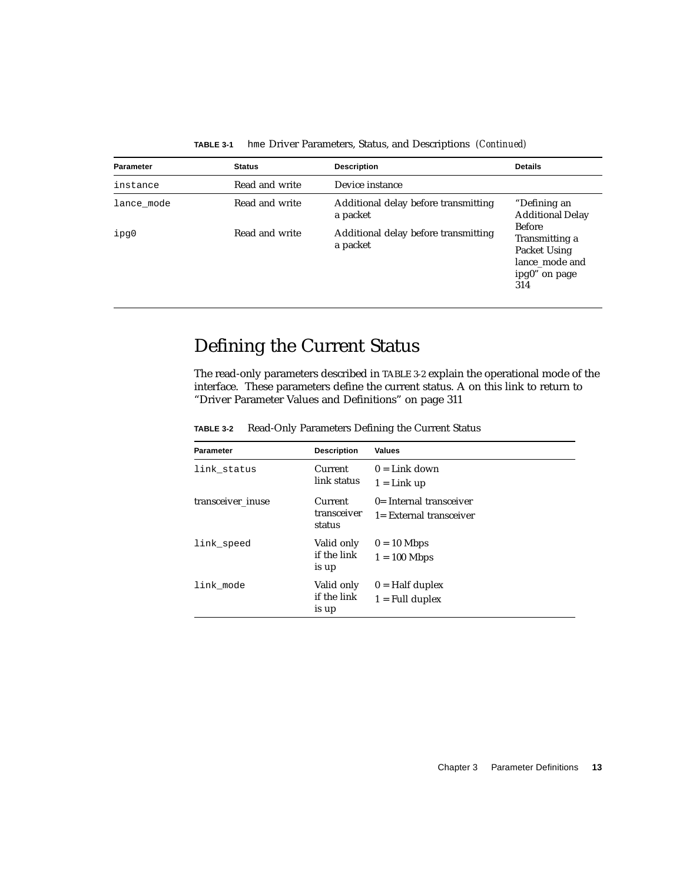<span id="page-22-6"></span><span id="page-22-5"></span><span id="page-22-4"></span>

| Parameter  | <b>Status</b>  | <b>Description</b>                               | <b>Details</b>                                                                            |
|------------|----------------|--------------------------------------------------|-------------------------------------------------------------------------------------------|
| instance   | Read and write | Device instance                                  |                                                                                           |
| lance_mode | Read and write | Additional delay before transmitting<br>a packet | "Defining an<br><b>Additional Delay</b>                                                   |
| ipg0       | Read and write | Additional delay before transmitting<br>a packet | <b>Before</b><br>Transmitting a<br>Packet Using<br>lance mode and<br>ipg0" on page<br>314 |

**TABLE 3-1** hme Driver Parameters, Status, and Descriptions *(Continued)*

### <span id="page-22-3"></span><span id="page-22-0"></span>Defining the Current Status

<span id="page-22-2"></span><span id="page-22-1"></span>The read-only parameters described in [TABLE 3-2](#page-22-1) explain the operational mode of the interface. These parameters define the current status. A on this link to return to ["Driver Parameter Values and Definitions" on page 311](#page-20-1)

<span id="page-22-10"></span><span id="page-22-9"></span><span id="page-22-8"></span><span id="page-22-7"></span>

| <b>Parameter</b>  | <b>Description</b>                 | <b>Values</b>                                           |
|-------------------|------------------------------------|---------------------------------------------------------|
| link_status       | Current<br>link status             | $0 =$ Link down<br>$1 =$ Link up                        |
| transceiver inuse | Current<br>transceiver<br>status   | $0=$ Internal transceiver<br>$1 =$ External transceiver |
| link_speed        | Valid only<br>if the link<br>is up | $0 = 10$ Mbps<br>$1 = 100$ Mbps                         |
| link_mode         | Valid only<br>if the link<br>is up | $0 = \text{Half}$ duplex<br>$1 =$ Full duplex           |

**TABLE 3-2** Read-Only Parameters Defining the Current Status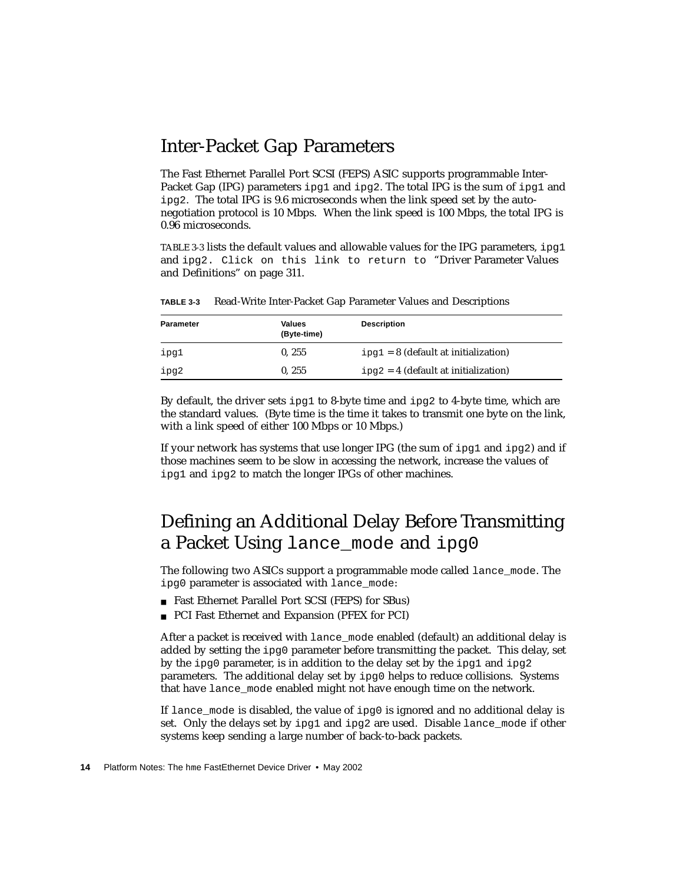### <span id="page-23-4"></span><span id="page-23-0"></span>Inter-Packet Gap Parameters

The Fast Ethernet Parallel Port SCSI (FEPS) ASIC supports programmable Inter-Packet Gap (IPG) parameters ipg1 and ipg2. The total IPG is the sum of ipg1 and ipg2. The total IPG is 9.6 microseconds when the link speed set by the autonegotiation protocol is 10 Mbps. When the link speed is 100 Mbps, the total IPG is 0.96 microseconds.

<span id="page-23-2"></span>[TABLE 3-3](#page-23-2) lists the default values and allowable values for the IPG parameters,  $ipq1$ and ipg2. Click on this link to return to ["Driver Parameter Values](#page-20-1) [and Definitions" on page 311](#page-20-1).

<span id="page-23-5"></span>

| <b>Parameter</b> | Values<br>(Byte-time) | <b>Description</b>                     |
|------------------|-----------------------|----------------------------------------|
| ipg1             | 0.255                 | $ipq1 = 8$ (default at initialization) |
| ipg2             | 0.255                 | $ipq2 = 4$ (default at initialization) |

**TABLE 3-3** Read-Write Inter-Packet Gap Parameter Values and Descriptions

<span id="page-23-6"></span>By default, the driver sets  $ipq1$  to 8-byte time and  $ipq2$  to 4-byte time, which are the standard values. (Byte time is the time it takes to transmit one byte on the link, with a link speed of either 100 Mbps or 10 Mbps.)

If your network has systems that use longer IPG (the sum of  $ipq1$  and  $ipq2$ ) and if those machines seem to be slow in accessing the network, increase the values of ipg1 and ipg2 to match the longer IPGs of other machines.

## <span id="page-23-3"></span><span id="page-23-1"></span>Defining an Additional Delay Before Transmitting a Packet Using lance\_mode and ipg0

The following two ASICs support a programmable mode called lance\_mode. The ipg0 parameter is associated with lance\_mode:

- Fast Ethernet Parallel Port SCSI (FEPS) for SBus)
- PCI Fast Ethernet and Expansion (PFEX for PCI)

After a packet is received with lance mode enabled (default) an additional delay is added by setting the ipg0 parameter before transmitting the packet. This delay, set by the ipg0 parameter, is in addition to the delay set by the ipg1 and ipg2 parameters. The additional delay set by ipg0 helps to reduce collisions. Systems that have lance mode enabled might not have enough time on the network.

If lance mode is disabled, the value of  $i_{pq0}$  is ignored and no additional delay is set. Only the delays set by ipg1 and ipg2 are used. Disable lance\_mode if other systems keep sending a large number of back-to-back packets.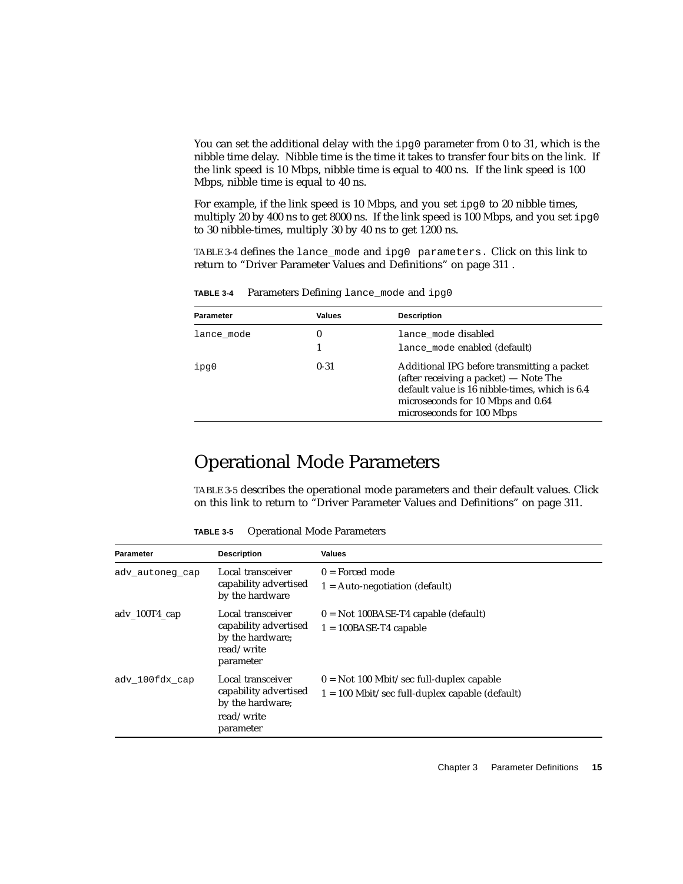You can set the additional delay with the ipg0 parameter from 0 to 31, which is the nibble time delay. Nibble time is the time it takes to transfer four bits on the link. If the link speed is 10 Mbps, nibble time is equal to 400 ns. If the link speed is 100 Mbps, nibble time is equal to 40 ns.

For example, if the link speed is 10 Mbps, and you set ipg0 to 20 nibble times, multiply 20 by 400 ns to get 8000 ns. If the link speed is 100 Mbps, and you set  $i p q 0$ to 30 nibble-times, multiply 30 by 40 ns to get 1200 ns.

<span id="page-24-1"></span>[TABLE 3-4](#page-24-1) defines the lance mode and ipg0 parameters. Click on this link to return to ["Driver Parameter Values and Definitions" on page 311](#page-20-1) .

<span id="page-24-8"></span><span id="page-24-7"></span>

| <b>Parameter</b> | Values   | <b>Description</b>                                                                                                                                                                                        |
|------------------|----------|-----------------------------------------------------------------------------------------------------------------------------------------------------------------------------------------------------------|
| lance mode       | 0        | lance mode disabled<br>lance_mode enabled (default)                                                                                                                                                       |
| ipg0             | $0 - 31$ | Additional IPG before transmitting a packet<br>$after receiving a packet) - Note The$<br>default value is 16 nibble-times, which is 6.4<br>microseconds for 10 Mbps and 0.64<br>microseconds for 100 Mbps |

**TABLE 3-4** Parameters Defining lance\_mode and ipg0

### <span id="page-24-3"></span><span id="page-24-0"></span>Operational Mode Parameters

[TABLE 3-5](#page-24-2) describes the operational mode parameters and their default values. Click on this link to return to ["Driver Parameter Values and Definitions" on page 311.](#page-20-1)

<span id="page-24-2"></span>

| <b>Parameter</b>           | <b>Description</b>                                                                        | <b>Values</b>                                                                                  |
|----------------------------|-------------------------------------------------------------------------------------------|------------------------------------------------------------------------------------------------|
| adv_autoneg_cap            | Local transceiver<br>capability advertised<br>by the hardware                             | $0 =$ Forced mode<br>$1 =$ Auto-negotiation (default)                                          |
| $adv_100T4$ <sub>cap</sub> | Local transceiver<br>capability advertised<br>by the hardware;<br>read/write<br>parameter | $0 = Not 100BASE-T4 capable (default)$<br>$1 = 100BASE-T4$ capable                             |
| adv_100fdx_cap             | Local transceiver<br>capability advertised<br>by the hardware;<br>read/write<br>parameter | $0 =$ Not 100 Mbit/sec full-duplex capable<br>$1 = 100$ Mbit/sec full-duplex capable (default) |

<span id="page-24-6"></span><span id="page-24-5"></span><span id="page-24-4"></span>**TABLE 3-5** Operational Mode Parameters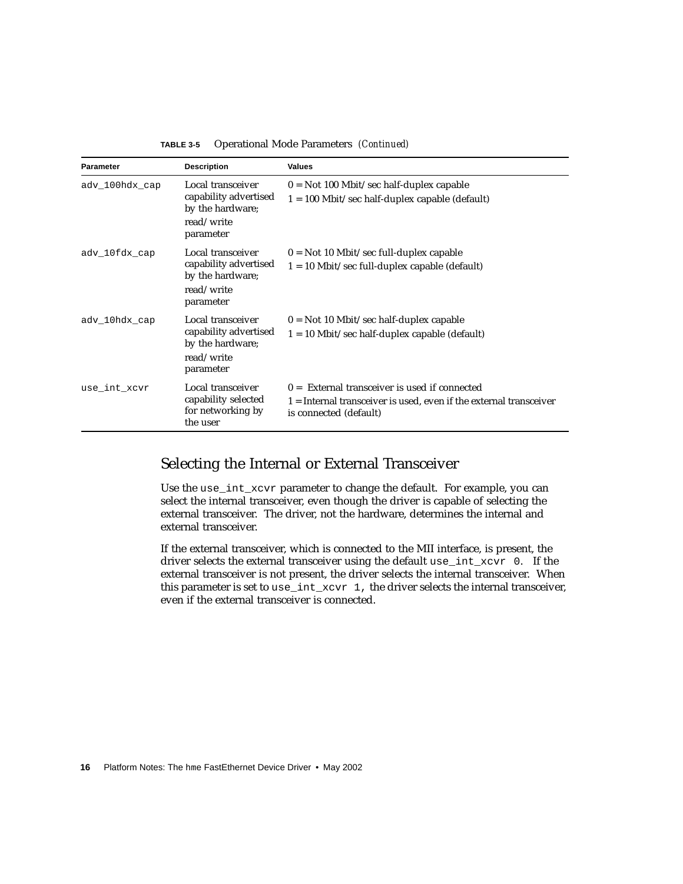| <b>Parameter</b> | <b>Description</b>                                                                        | <b>Values</b>                                                                                                                                     |
|------------------|-------------------------------------------------------------------------------------------|---------------------------------------------------------------------------------------------------------------------------------------------------|
| adv_100hdx_cap   | Local transceiver<br>capability advertised<br>by the hardware;<br>read/write<br>parameter | $0 = Not 100$ Mbit/sec half-duplex capable<br>$1 = 100$ Mbit/sec half-duplex capable (default)                                                    |
| adv_10fdx_cap    | Local transceiver<br>capability advertised<br>by the hardware;<br>read/write<br>parameter | $0 =$ Not 10 Mbit/sec full-duplex capable<br>$1 = 10$ Mbit/sec full-duplex capable (default)                                                      |
| adv_10hdx_cap    | Local transceiver<br>capability advertised<br>by the hardware;<br>read/write<br>parameter | $0 = Not 10$ Mbit/sec half-duplex capable<br>$1 = 10$ Mbit/sec half-duplex capable (default)                                                      |
| use_int_xcvr     | Local transceiver<br>capability selected<br>for networking by<br>the user                 | $0 =$ External transceiver is used if connected<br>$1 =$ Internal transceiver is used, even if the external transceiver<br>is connected (default) |

<span id="page-25-2"></span><span id="page-25-1"></span>**TABLE 3-5** Operational Mode Parameters *(Continued)*

#### <span id="page-25-5"></span><span id="page-25-4"></span><span id="page-25-3"></span><span id="page-25-0"></span>Selecting the Internal or External Transceiver

Use the use int xcvr parameter to change the default. For example, you can select the internal transceiver, even though the driver is capable of selecting the external transceiver. The driver, not the hardware, determines the internal and external transceiver.

If the external transceiver, which is connected to the MII interface, is present, the driver selects the external transceiver using the default use int xcvr 0. If the external transceiver is not present, the driver selects the internal transceiver. When this parameter is set to use  $\pm$  int  $\pm$  xcvr 1, the driver selects the internal transceiver, even if the external transceiver is connected.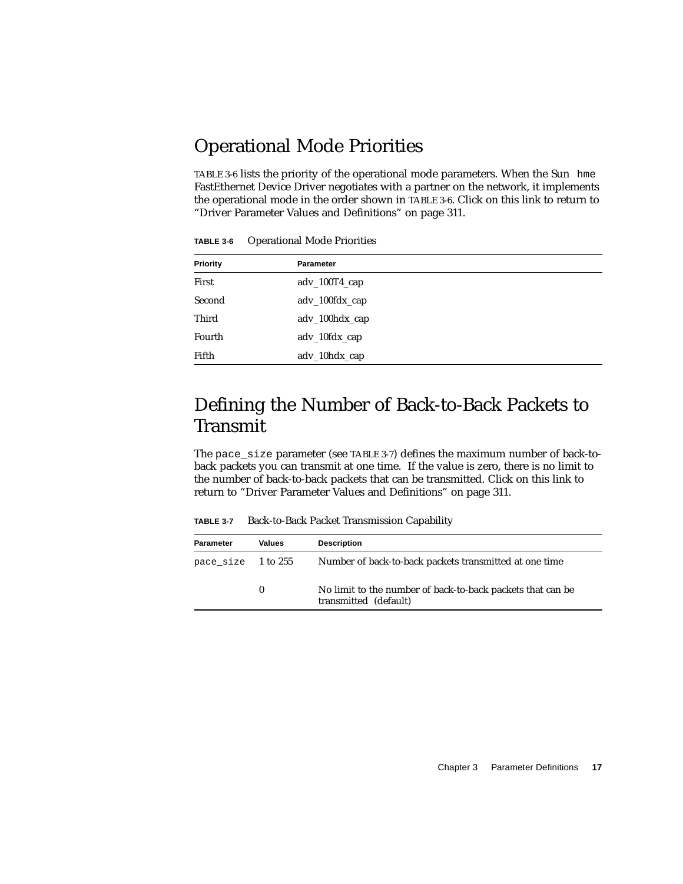## <span id="page-26-5"></span><span id="page-26-0"></span>Operational Mode Priorities

<span id="page-26-3"></span>[TABLE 3-6](#page-26-3) lists the priority of the operational mode parameters. When the Sun hme FastEthernet Device Driver negotiates with a partner on the network, it implements the operational mode in the order shown in [TABLE 3-6](#page-26-3). Click on this link to return to ["Driver Parameter Values and Definitions" on page 311.](#page-20-1)

| <b>Priority</b> | <b>Parameter</b> |
|-----------------|------------------|
| First           | adv_100T4_cap    |
| Second          | adv_100fdx_cap   |
| Third           | adv_100hdx_cap   |
| Fourth          | adv_10fdx_cap    |
| Fifth           | adv_10hdx_cap    |

**TABLE 3-6** Operational Mode Priorities

### <span id="page-26-4"></span><span id="page-26-1"></span>Defining the Number of Back-to-Back Packets to Transmit

<span id="page-26-2"></span>The pace\_size parameter (see [TABLE 3-7\)](#page-26-2) defines the maximum number of back-toback packets you can transmit at one time. If the value is zero, there is no limit to the number of back-to-back packets that can be transmitted. Click on this link to return to ["Driver Parameter Values and Definitions" on page 311.](#page-20-1)

**TABLE 3-7** Back-to-Back Packet Transmission Capability

<span id="page-26-6"></span>

| Parameter          | Values | <b>Description</b>                                                                  |
|--------------------|--------|-------------------------------------------------------------------------------------|
| pace size 1 to 255 |        | Number of back-to-back packets transmitted at one time                              |
|                    | $_{0}$ | No limit to the number of back-to-back packets that can be<br>transmitted (default) |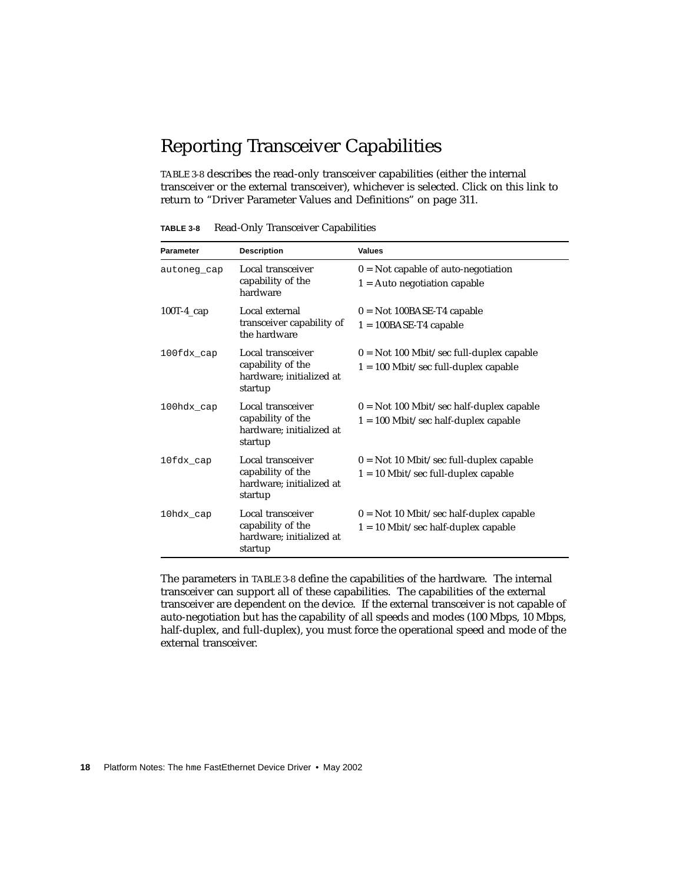## <span id="page-27-8"></span><span id="page-27-0"></span>Reporting Transceiver Capabilities

<span id="page-27-1"></span>[TABLE 3-8](#page-27-1) describes the read-only transceiver capabilities (either the internal transceiver or the external transceiver), whichever is selected. Click on this link to return to ["Driver Parameter Values and Definitions" on page 311.](#page-20-1)

<span id="page-27-7"></span><span id="page-27-4"></span><span id="page-27-3"></span><span id="page-27-2"></span>

| <b>Parameter</b>        | <b>Description</b>                                                            | <b>Values</b>                                                                        |
|-------------------------|-------------------------------------------------------------------------------|--------------------------------------------------------------------------------------|
| autoneg_cap             | Local transceiver<br>capability of the<br>hardware                            | $0 = Not capable of auto-negotiation$<br>$1 =$ Auto negotiation capable              |
| $100T-4$ <sub>cap</sub> | Local external<br>transceiver capability of<br>the hardware                   | $0 = Not 100BASE-T4 capable$<br>$1 = 100BASE-T4 capable$                             |
| 100fdx_cap              | Local transceiver<br>capability of the<br>hardware; initialized at<br>startup | $0 = Not 100$ Mbit/sec full-duplex capable<br>$1 = 100$ Mbit/sec full-duplex capable |
| 100hdx cap              | Local transceiver<br>capability of the<br>hardware; initialized at<br>startup | $0 = Not 100$ Mbit/sec half-duplex capable<br>$1 = 100$ Mbit/sec half-duplex capable |
| 10fdx cap               | Local transceiver<br>capability of the<br>hardware; initialized at<br>startup | $0 = Not 10$ Mbit/sec full-duplex capable<br>$1 = 10$ Mbit/sec full-duplex capable   |
| 10hdx_cap               | Local transceiver<br>capability of the<br>hardware; initialized at<br>startup | $0 = Not 10$ Mbit/sec half-duplex capable<br>$1 = 10$ Mbit/sec half-duplex capable   |

**TABLE 3-8** Read-Only Transceiver Capabilities

<span id="page-27-6"></span><span id="page-27-5"></span>The parameters in [TABLE 3-8](#page-27-1) define the capabilities of the hardware. The internal transceiver can support all of these capabilities. The capabilities of the external transceiver are dependent on the device. If the external transceiver is not capable of auto-negotiation but has the capability of all speeds and modes (100 Mbps, 10 Mbps, half-duplex, and full-duplex), you must force the operational speed and mode of the external transceiver.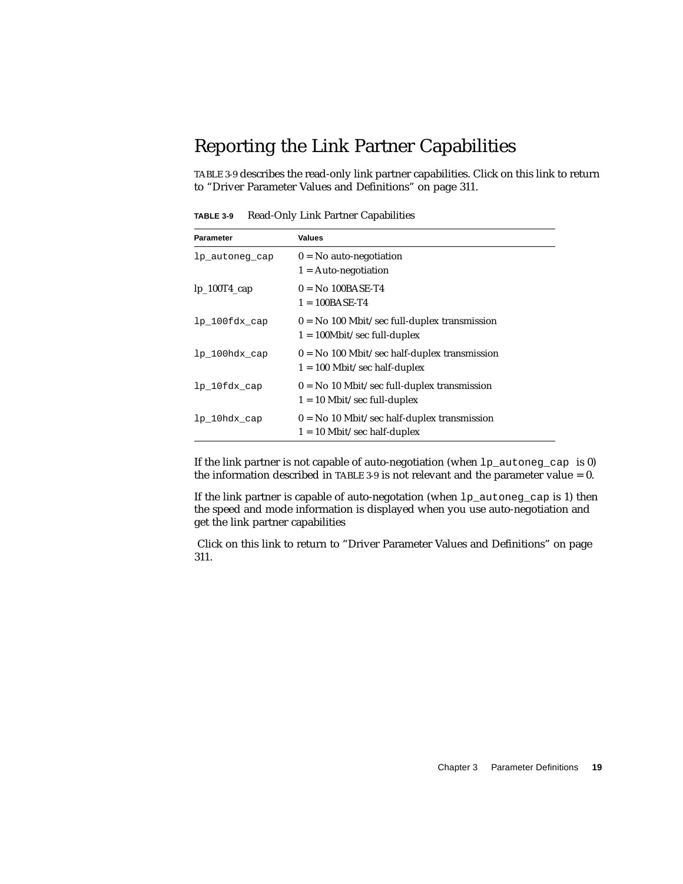### <span id="page-28-8"></span><span id="page-28-0"></span>Reporting the Link Partner Capabilities

<span id="page-28-2"></span><span id="page-28-1"></span>[TABLE 3-9](#page-28-1) describes the read-only link partner capabilities. Click on this link to return to ["Driver Parameter Values and Definitions" on page 311](#page-20-1).

<span id="page-28-7"></span><span id="page-28-5"></span><span id="page-28-4"></span><span id="page-28-3"></span>

| <b>Parameter</b>          | Values                                                                           |
|---------------------------|----------------------------------------------------------------------------------|
| lp_autoneg_cap            | $0 = No$ auto-negotiation<br>$1 =$ Auto-negotiation                              |
| $lp_100T4$ <sub>cap</sub> | $0 = No$ 100BASE-T4<br>$1 = 100$ BASE-T4                                         |
| $lp_100fdx_cap$           | $0 = No$ 100 Mbit/sec full-duplex transmission<br>$1 = 100$ Mbit/sec full-duplex |
| $lp_100hdx_cap$           | $0 = No$ 100 Mbit/sec half-duplex transmission<br>$1 = 100$ Mbit/sec half-duplex |
| lp_10fdx_cap              | $0 = No$ 10 Mbit/sec full-duplex transmission<br>$1 = 10$ Mbit/sec full-duplex   |
| lp_10hdx_cap              | $0 = No$ 10 Mbit/sec half-duplex transmission<br>$1 = 10$ Mbit/sec half-duplex   |

**TABLE 3-9** Read-Only Link Partner Capabilities

<span id="page-28-6"></span>If the link partner is not capable of auto-negotiation (when  $1<sub>p</sub>$  autoneg\_cap is 0) the information described in [TABLE 3-9](#page-28-1) is not relevant and the parameter value  $= 0$ .

If the link partner is capable of auto-negotation (when lp\_autoneg\_cap is 1) then the speed and mode information is displayed when you use auto-negotiation and get the link partner capabilities

Click on this link to return to ["Driver Parameter Values and Definitions" on page](#page-20-1) [311](#page-20-1).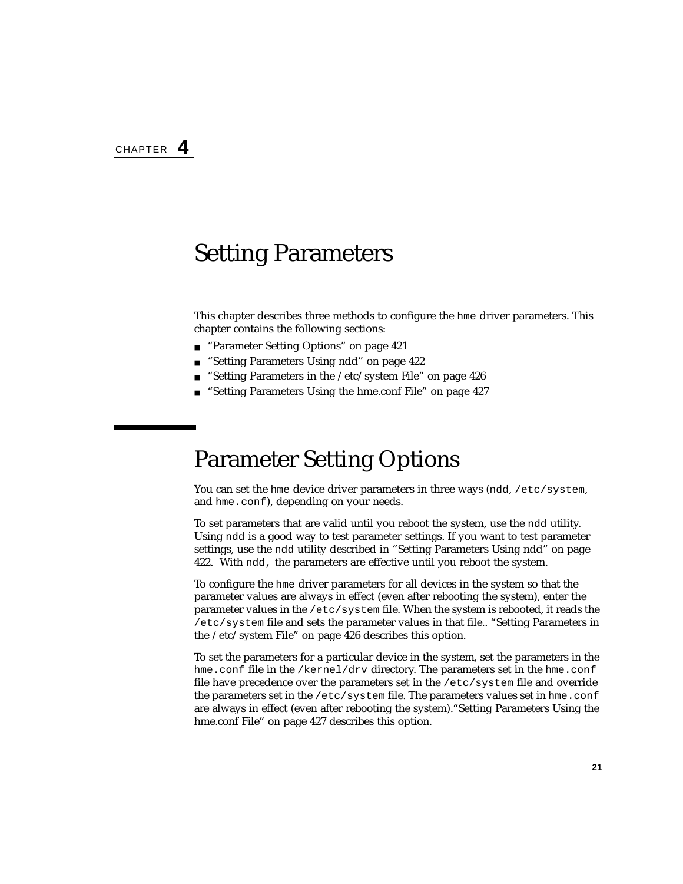# <span id="page-30-2"></span><span id="page-30-0"></span>Setting Parameters

This chapter describes three methods to configure the hme driver parameters. This chapter contains the following sections:

- ["Parameter Setting Options" on page 421](#page-30-1)
- ["Setting Parameters Using ndd" on page 422](#page-31-0)
- ["Setting Parameters in the /etc/system File" on page 426](#page-35-0)
- ["Setting Parameters Using the hme.conf File" on page 427](#page-36-1)

## <span id="page-30-3"></span><span id="page-30-1"></span>Parameter Setting Options

<span id="page-30-6"></span><span id="page-30-5"></span><span id="page-30-4"></span>You can set the hme device driver parameters in three ways (ndd, /etc/system, and hme.conf), depending on your needs.

To set parameters that are valid until you reboot the system, use the ndd utility. Using ndd is a good way to test parameter settings. If you want to test parameter settings, use the ndd utility described in ["Setting Parameters Using ndd" on page](#page-31-0) [422.](#page-31-0) With ndd, the parameters are effective until you reboot the system.

To configure the hme driver parameters for all devices in the system so that the parameter values are always in effect (even after rebooting the system), enter the parameter values in the /etc/system file. When the system is rebooted, it reads the /etc/system file and sets the parameter values in that file.. ["Setting Parameters in](#page-35-0) [the /etc/system File" on page 426](#page-35-0) describes this option.

To set the parameters for a particular device in the system, set the parameters in the hme.conf file in the /kernel/drv directory. The parameters set in the hme.conf file have precedence over the parameters set in the  $/etc/system$  file and override the parameters set in the /etc/system file. The parameters values set in hme.conf are always in effect (even after rebooting the system)[."Setting Parameters Using the](#page-36-1) [hme.conf File" on page 427](#page-36-1) describes this option.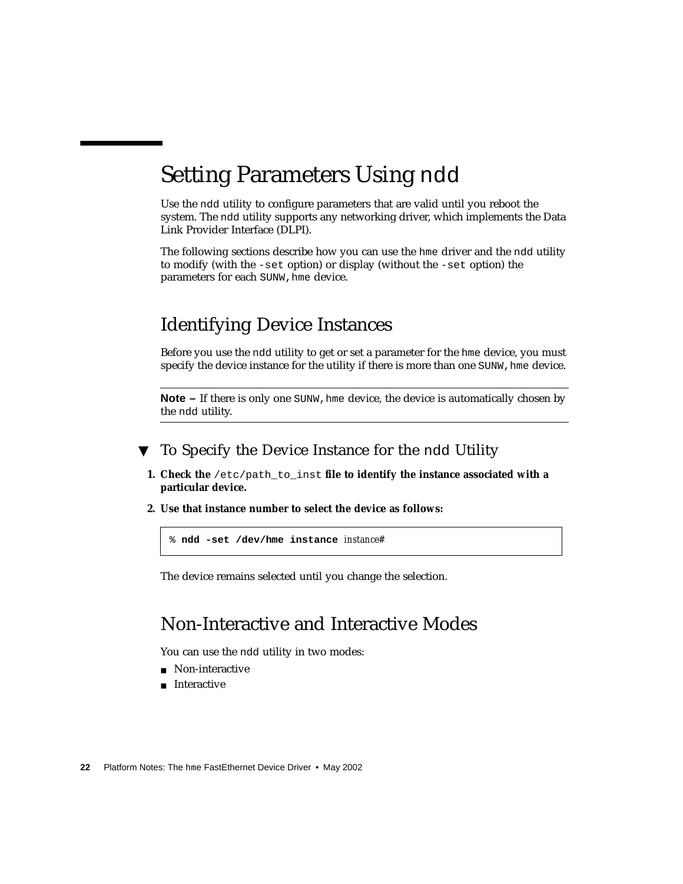# <span id="page-31-8"></span><span id="page-31-0"></span>Setting Parameters Using ndd

<span id="page-31-4"></span>Use the ndd utility to configure parameters that are valid until you reboot the system. The ndd utility supports any networking driver, which implements the Data Link Provider Interface (DLPI).

The following sections describe how you can use the hme driver and the ndd utility to modify (with the -set option) or display (without the -set option) the parameters for each SUNW, hme device.

### <span id="page-31-6"></span><span id="page-31-1"></span>Identifying Device Instances

Before you use the ndd utility to get or set a parameter for the hme device, you must specify the device instance for the utility if there is more than one SUNW, hme device.

**Note –** If there is only one SUNW, hme device, the device is automatically chosen by the ndd utility.

<span id="page-31-9"></span><span id="page-31-2"></span>To Specify the Device Instance for the ndd Utility

- <span id="page-31-5"></span>**1. Check the** /etc/path\_to\_inst **file to identify the instance associated with a particular device.**
- **2. Use that instance number to select the device as follows:**

% **ndd -set /dev/hme instance** *instance#*

The device remains selected until you change the selection.

### <span id="page-31-7"></span><span id="page-31-3"></span>Non-Interactive and Interactive Modes

You can use the ndd utility in two modes:

- Non-interactive
- Interactive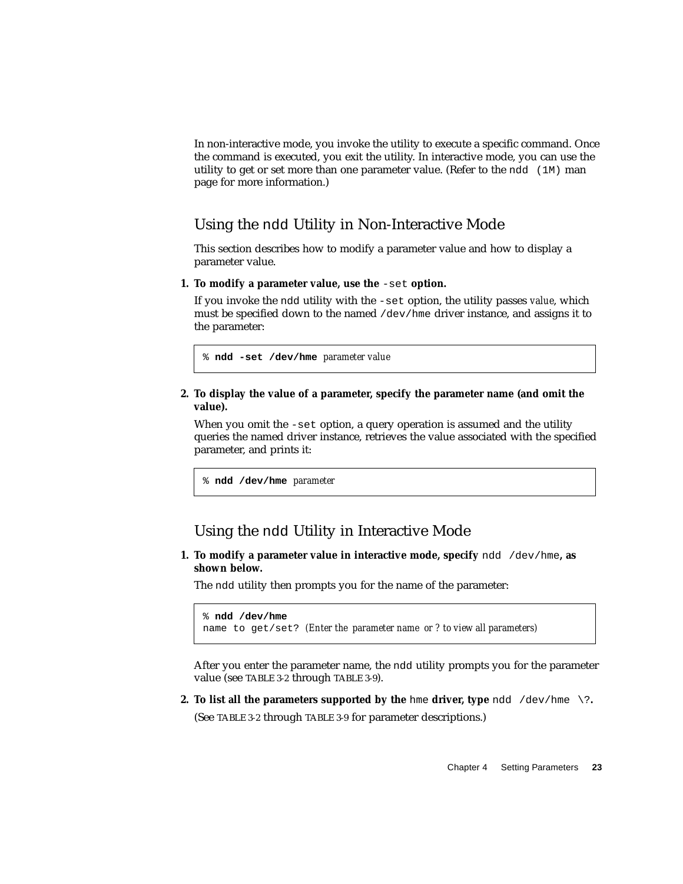In non-interactive mode, you invoke the utility to execute a specific command. Once the command is executed, you exit the utility. In interactive mode, you can use the utility to get or set more than one parameter value. (Refer to the ndd (1M) man page for more information.)

### <span id="page-32-3"></span><span id="page-32-0"></span>Using the ndd Utility in Non-Interactive Mode

This section describes how to modify a parameter value and how to display a parameter value.

**1. To modify a parameter value, use the** -set **option.**

If you invoke the ndd utility with the -set option, the utility passes *value*, which must be specified down to the named  $/$ dev $/$ hme driver instance, and assigns it to the parameter:

% **ndd -set /dev/hme** *parameter value*

**2. To display the value of a parameter, specify the parameter name (and omit the value).**

When you omit the -set option, a query operation is assumed and the utility queries the named driver instance, retrieves the value associated with the specified parameter, and prints it:

% **ndd /dev/hme** *parameter*

<span id="page-32-2"></span>Using the ndd Utility in Interactive Mode

<span id="page-32-1"></span>**1. To modify a parameter value in interactive mode, specify** ndd /dev/hme**, as shown below.**

The ndd utility then prompts you for the name of the parameter:

% **ndd /dev/hme** name to get/set? *(Enter the parameter name or ? to view all parameters)*

After you enter the parameter name, the ndd utility prompts you for the parameter value (see [TABLE 3-2](#page-22-2) through [TABLE 3-9\)](#page-28-2).

**2. To list all the parameters supported by the** hme **driver, type** ndd  $\angle$ dev/hme  $\langle$ ?. (See [TABLE 3-2](#page-22-2) through [TABLE 3-9](#page-28-2) for parameter descriptions.)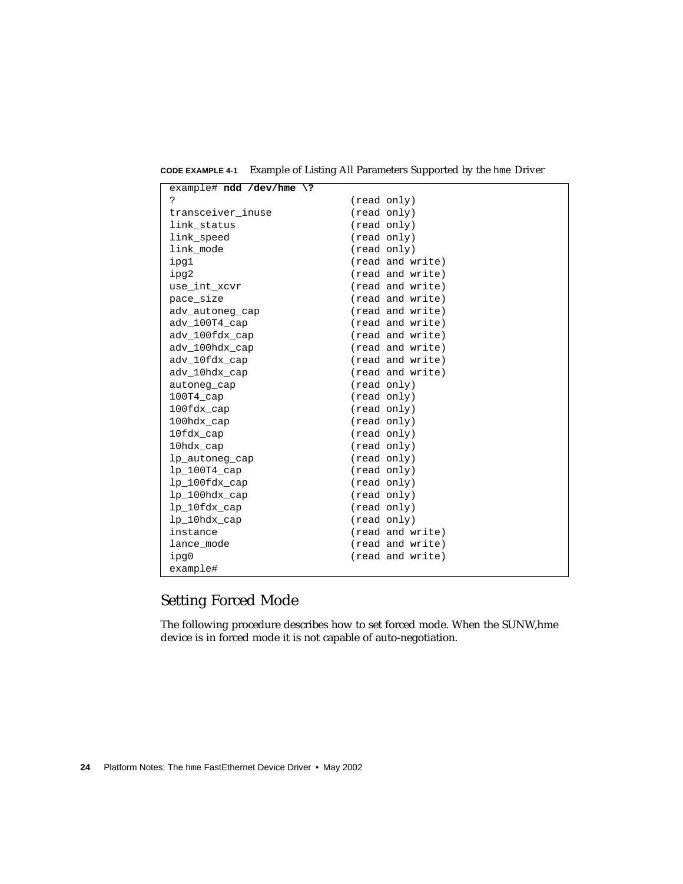| example# $ndd /dev/hme \$ ? |                  |
|-----------------------------|------------------|
| P                           | (read only)      |
| transceiver_inuse           | (read only)      |
| link status                 | (read only)      |
| link_speed                  | (read only)      |
| link_mode                   | (read only)      |
| ipg1                        | (read and write) |
| ipq2                        | (read and write) |
| use int xcvr                | (read and write) |
| pace_size                   | (read and write) |
| adv_autoneg_cap             | (read and write) |
| adv_100T4_cap               | (read and write) |
| adv_100fdx_cap              | (read and write) |
| adv_100hdx_cap              | (read and write) |
| adv_10fdx_cap               | (read and write) |
| adv_10hdx_cap               | (read and write) |
| autoneg_cap                 | (read only)      |
| $100T4$ cap                 | (read only)      |
| 100fdx_cap                  | (read only)      |
| 100hdx_cap                  | (read only)      |
| 10fdx_cap                   | (read only)      |
| 10hdx_cap                   | (read only)      |
| lp_autoneg_cap              | (read only)      |
| $lp_100T4_cap$              | (read only)      |
| lp_100fdx_cap               | (read only)      |
| lp_100hdx_cap               | (read only)      |
| lp_10fdx_cap                | (read only)      |
| lp_10hdx_cap                | (read only)      |
| instance                    | (read and write) |
| lance mode                  | (read and write) |
| ipg0                        | (read and write) |
| $example$ #                 |                  |

**CODE EXAMPLE 4-1** Example of Listing All Parameters Supported by the hme Driver

#### <span id="page-33-1"></span><span id="page-33-0"></span>Setting Forced Mode

The following procedure describes how to set forced mode. When the SUNW,hme device is in forced mode it is not capable of auto-negotiation.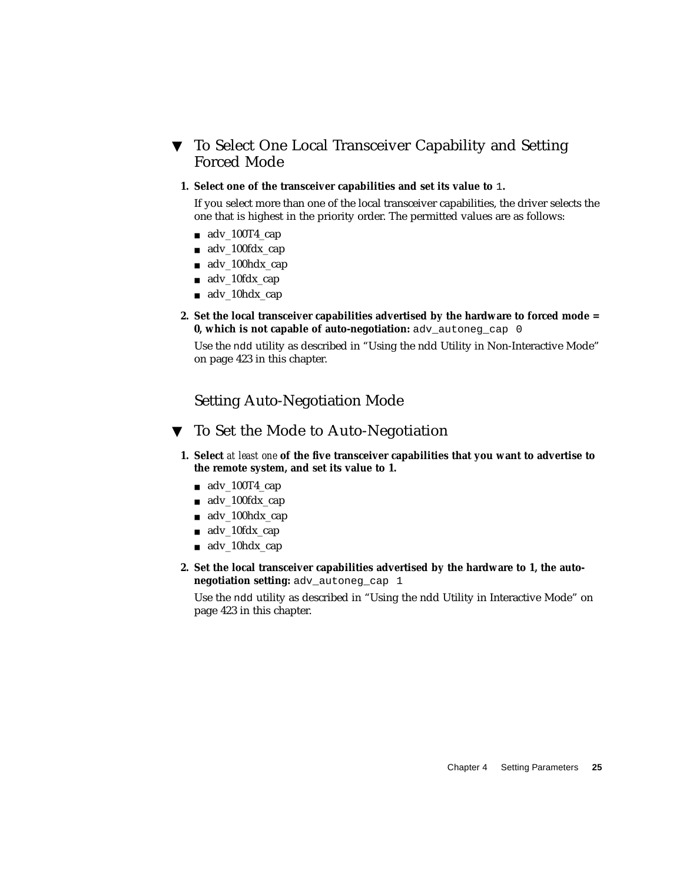### <span id="page-34-4"></span><span id="page-34-0"></span>To Select One Local Transceiver Capability and Setting Forced Mode

#### **1. Select one of the transceiver capabilities and set its value to** 1**.**

If you select more than one of the local transceiver capabilities, the driver selects the one that is highest in the priority order. The permitted values are as follows:

- adv\_100T4\_cap
- adv\_100fdx\_cap
- adv\_100hdx\_cap
- adv\_10fdx\_cap
- adv\_10hdx\_cap
- **2. Set the local transceiver capabilities advertised by the hardware to forced mode = 0, which is not capable of auto-negotiation:** adv\_autoneg\_cap 0

Use the ndd utility as described in ["Using the ndd Utility in Non-Interactive Mode"](#page-32-0) [on page 423](#page-32-0) in this chapter.

#### <span id="page-34-5"></span><span id="page-34-3"></span>Setting Auto-Negotiation Mode

- <span id="page-34-2"></span><span id="page-34-1"></span>▼ To Set the Mode to Auto-Negotiation
	- **1. Select** *at least one* **of the five transceiver capabilities that you want to advertise to the remote system, and set its value to 1.**
		- adv 100T4 cap
		- adv\_100fdx\_cap
		- adv 100hdx cap
		- adv 10fdx cap
		- adv 10hdx cap
	- **2. Set the local transceiver capabilities advertised by the hardware to 1, the autonegotiation setting:** adv\_autoneg\_cap 1

Use the ndd utility as described in ["Using the ndd Utility in Interactive Mode" on](#page-32-1) [page 423](#page-32-1) in this chapter.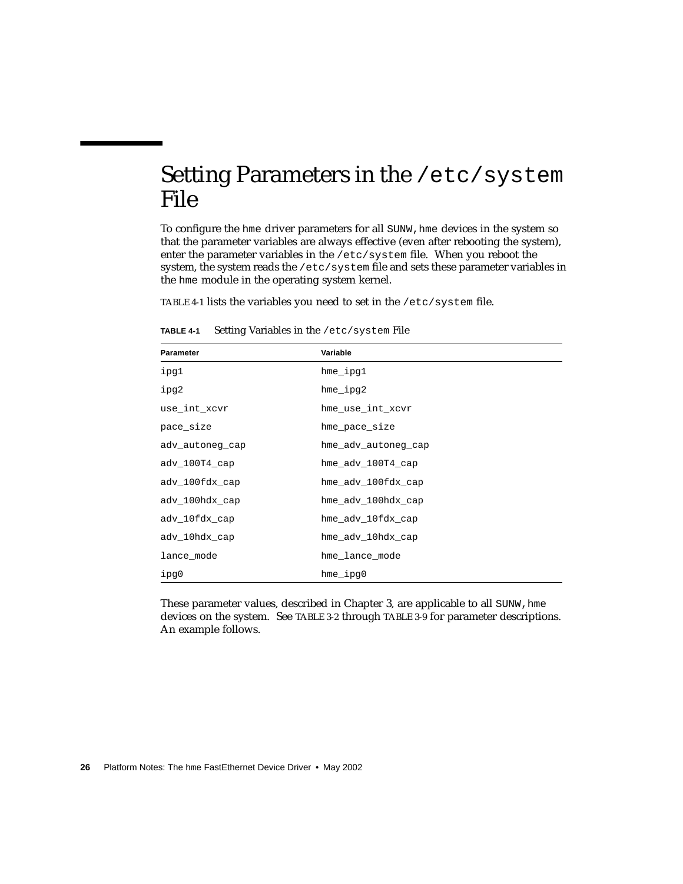# <span id="page-35-3"></span><span id="page-35-0"></span>Setting Parameters in the /etc/system File

<span id="page-35-2"></span>To configure the hme driver parameters for all SUNW,hme devices in the system so that the parameter variables are always effective (even after rebooting the system), enter the parameter variables in the /etc/system file. When you reboot the system, the system reads the /etc/system file and sets these parameter variables in the hme module in the operating system kernel.

<span id="page-35-1"></span>[TABLE 4-1](#page-35-1) lists the variables you need to set in the /etc/system file.

| Parameter       | Variable            |
|-----------------|---------------------|
| ipg1            | hme_ipg1            |
| ipg2            | hme_ipg2            |
| use_int_xcvr    | hme_use_int_xcvr    |
| pace_size       | hme_pace_size       |
| adv_autoneg_cap | hme_adv_autoneg_cap |
| adv_100T4_cap   | hme_adv_100T4_cap   |
| adv_100fdx_cap  | hme_adv_100fdx_cap  |
| adv_100hdx_cap  | hme_adv_100hdx_cap  |
| adv_10fdx_cap   | hme_adv_10fdx_cap   |
| adv_10hdx_cap   | hme_adv_10hdx_cap   |
| lance_mode      | hme_lance_mode      |
| ipg0            | $h$ me_ipq $0$      |

**TABLE 4-1** Setting Variables in the /etc/system File

These parameter values, described in [Chapter 3,](#page-20-2) are applicable to all SUNW, hme devices on the system. See [TABLE 3-2](#page-22-2) through [TABLE 3-9](#page-28-2) for parameter descriptions. An example follows.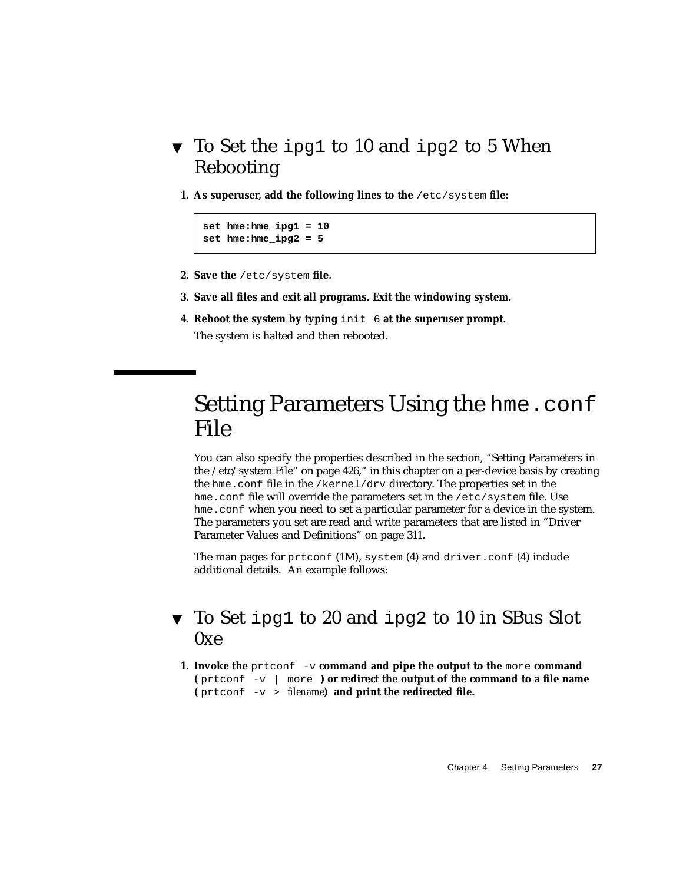### <span id="page-36-5"></span><span id="page-36-0"></span>▼ To Set the ipg1 to 10 and ipg2 to 5 When Rebooting

**1. As superuser, add the following lines to the** /etc/system **file:**

```
set hme:hme_ipg1 = 10
set hme:hme_ipg2 = 5
```
- **2. Save the** /etc/system **file.**
- **3. Save all files and exit all programs. Exit the windowing system.**
- **4. Reboot the system by typing** init 6 **at the superuser prompt.** The system is halted and then rebooted.

## <span id="page-36-3"></span><span id="page-36-1"></span>Setting Parameters Using the hme.conf File

You can also specify the properties described in the section, ["Setting Parameters in](#page-35-0) [the /etc/system File" on page 426,](#page-35-0)" in this chapter on a per-device basis by creating the hme.conf file in the /kernel/drv directory. The properties set in the hme.conf file will override the parameters set in the /etc/system file. Use hme.conf when you need to set a particular parameter for a device in the system. The parameters you set are read and write parameters that are listed in ["Driver](#page-20-4) [Parameter Values and Definitions" on page 311.](#page-20-4)

The man pages for prtconf (1M), system (4) and driver.conf (4) include additional details. An example follows:

### <span id="page-36-4"></span><span id="page-36-2"></span>▼ To Set ipg1 to 20 and ipg2 to 10 in SBus Slot 0xe

**1. Invoke the** prtconf -v **command and pipe the output to the** more **command (** prtconf -v | more **) or redirect the output of the command to a file name (** prtconf -v > *filename***) and print the redirected file.**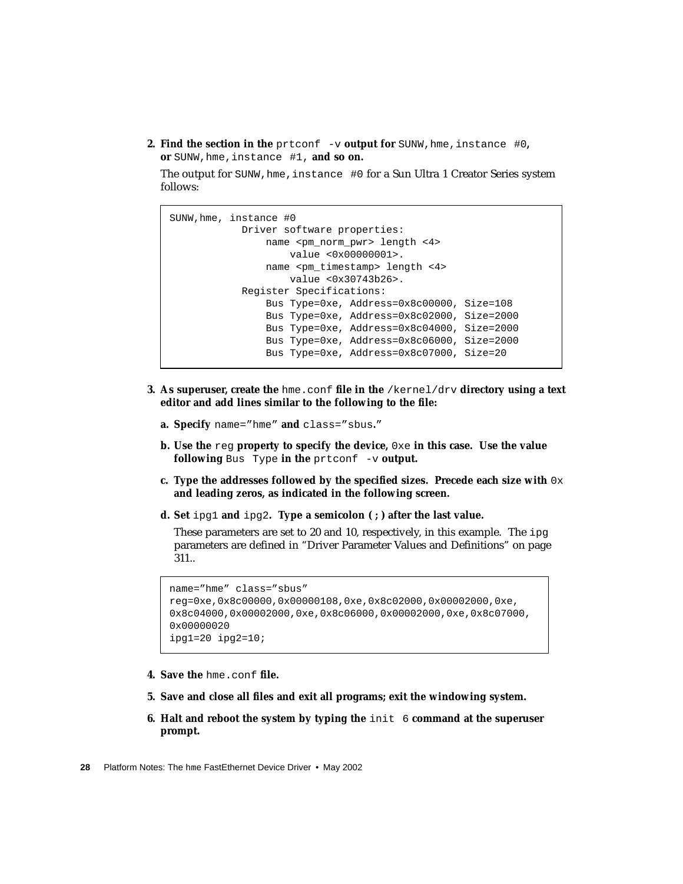**2. Find the section in the** prtconf -v **output for** SUNW,hme,instance #0**, or** SUNW,hme,instance #1, **and so on.**

The output for  $SUMW$ , hme, instance  $#0$  for a Sun Ultra 1 Creator Series system follows:

```
SUNW,hme, instance #0
             Driver software properties:
                name <pm norm pwr> length <4>
                    value <0x00000001>.
                 name <pm_timestamp> length <4>
                    value <0x30743b26>.
             Register Specifications:
                 Bus Type=0xe, Address=0x8c00000, Size=108
                 Bus Type=0xe, Address=0x8c02000, Size=2000
                 Bus Type=0xe, Address=0x8c04000, Size=2000
                 Bus Type=0xe, Address=0x8c06000, Size=2000
                 Bus Type=0xe, Address=0x8c07000, Size=20
```
- **3. As superuser, create the** hme.conf **file in the** /kernel/drv **directory using a text editor and add lines similar to the following to the file:**
	- **a. Specify** name="hme" **and** class="sbus**.**"
	- **b. Use the** reg **property to specify the device,** 0xe **in this case. Use the value following** Bus Type **in the** prtconf -v **output.**
	- c. Type the addresses followed by the specified sizes. Precede each size with  $0x$ **and leading zeros, as indicated in the following screen.**
	- **d. Set** ipg1 **and** ipg2**. Type a semicolon ( ; ) after the last value.**

<span id="page-37-0"></span>These parameters are set to 20 and 10, respectively, in this example. The  $ipq$ parameters are defined in ["Driver Parameter Values and Definitions" on page](#page-20-4) [311](#page-20-4)..

```
name="hme" class="sbus"
reg=0xe,0x8c00000,0x00000108,0xe,0x8c02000,0x00002000,0xe,
0x8c04000,0x00002000,0xe,0x8c06000,0x00002000,0xe,0x8c07000,
0x00000020
ipg1=20 ipg2=10;
```
- **4. Save the** hme.conf **file.**
- **5. Save and close all files and exit all programs; exit the windowing system.**
- **6. Halt and reboot the system by typing the** init 6 **command at the superuser prompt.**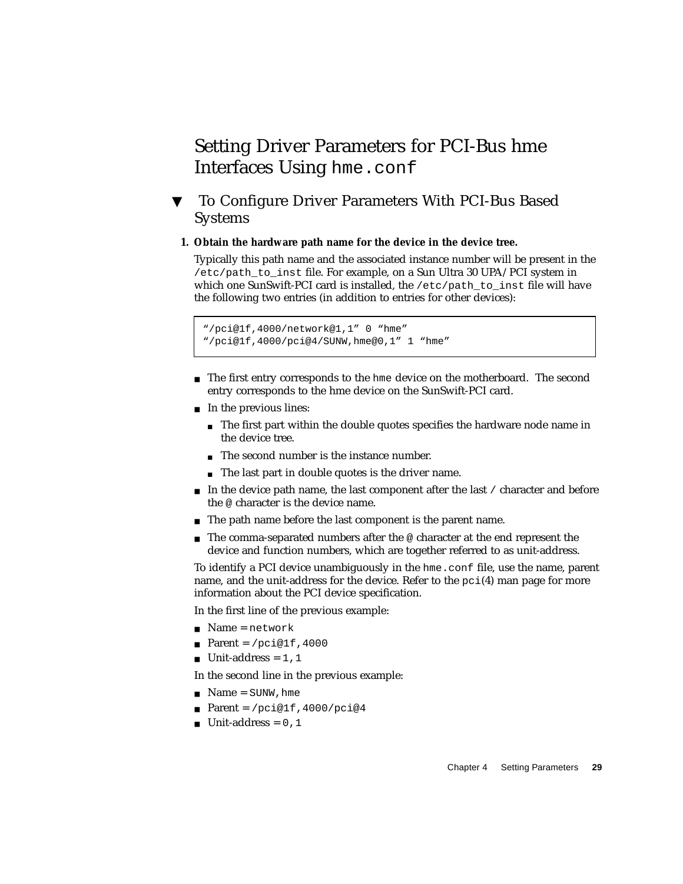## <span id="page-38-4"></span><span id="page-38-0"></span>Setting Driver Parameters for PCI-Bus hme Interfaces Using hme.conf

### <span id="page-38-5"></span><span id="page-38-1"></span>To Configure Driver Parameters With PCI-Bus Based Systems

#### **1. Obtain the hardware path name for the device in the device tree.**

<span id="page-38-2"></span>Typically this path name and the associated instance number will be present in the /etc/path\_to\_inst file. For example, on a Sun Ultra 30 UPA/PCI system in which one SunSwift-PCI card is installed, the /etc/path\_to\_inst file will have the following two entries (in addition to entries for other devices):

```
"/pci@1f,4000/network@1,1" 0 "hme"
"/pci@1f,4000/pci@4/SUNW,hme@0,1" 1 "hme"
```
- The first entry corresponds to the hme device on the motherboard. The second entry corresponds to the hme device on the SunSwift-PCI card.
- In the previous lines:
	- The first part within the double quotes specifies the hardware node name in the device tree.
	- The second number is the instance number.
	- The last part in double quotes is the driver name.
- In the device path name, the last component after the last / character and before the @ character is the device name.
- The path name before the last component is the parent name.
- The comma-separated numbers after the @ character at the end represent the device and function numbers, which are together referred to as unit-address.

<span id="page-38-3"></span>To identify a PCI device unambiguously in the hme.conf file, use the name, parent name, and the unit-address for the device. Refer to the  $pci(4)$  man page for more information about the PCI device specification.

In the first line of the previous example:

- $\blacksquare$  Name = network
- Parent =  $/$ pci@1f,4000
- $\blacksquare$  Unit-address = 1, 1

In the second line in the previous example:

- $\blacksquare$  Name = SUNW, hme
- Parent =  $/$ pci@1f,4000/pci@4
- Unit-address =  $0,1$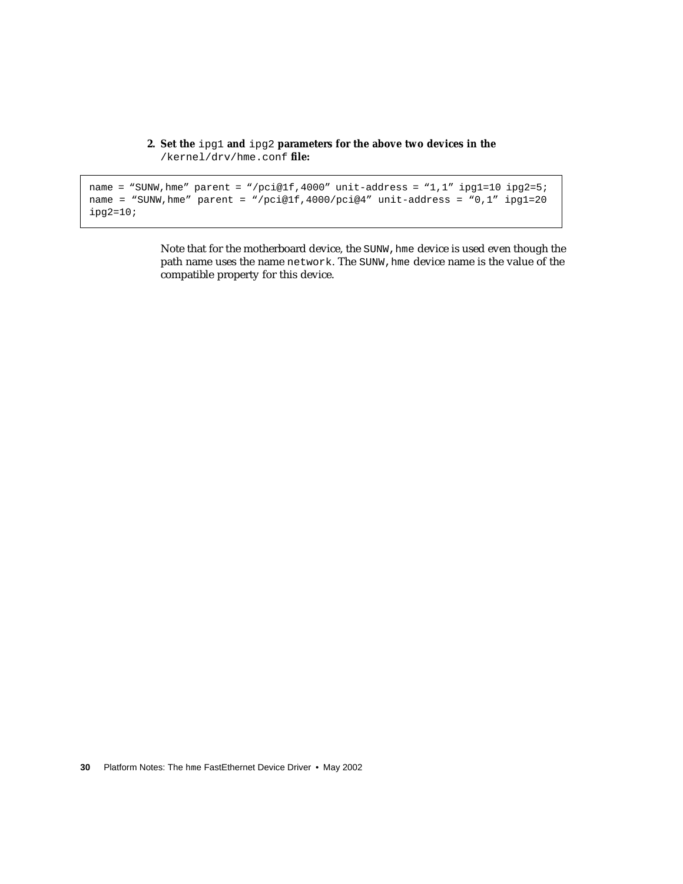#### **2. Set the** ipg1 **and** ipg2 **parameters for the above two devices in the** /kernel/drv/hme.conf **file:**

```
name = "SUNW, hme" parent = "/pci@1f,4000" unit-address = "1,1" ipq1=10 ipq2=5;
name = "SUNW,hme" parent = "/pci@1f,4000/pci@4" unit-address = "0,1" ipg1=20
ipg2=10;
```
Note that for the motherboard device, the SUNW, hme device is used even though the path name uses the name network. The SUNW, hme device name is the value of the compatible property for this device.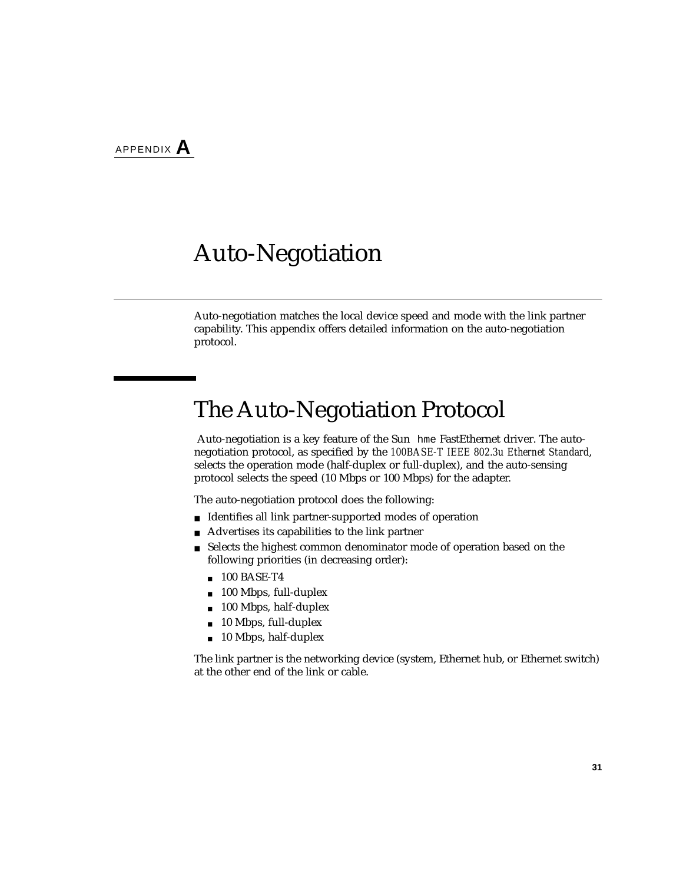# <span id="page-40-2"></span><span id="page-40-0"></span>Auto-Negotiation

Auto-negotiation matches the local device speed and mode with the link partner capability. This appendix offers detailed information on the auto-negotiation protocol.

# <span id="page-40-3"></span><span id="page-40-1"></span>The Auto-Negotiation Protocol

Auto-negotiation is a key feature of the Sun hme FastEthernet driver. The autonegotiation protocol, as specified by the *100BASE-T IEEE 802.3u Ethernet Standard*, selects the operation mode (half-duplex or full-duplex), and the auto-sensing protocol selects the speed (10 Mbps or 100 Mbps) for the adapter.

The auto-negotiation protocol does the following:

- Identifies all link partner-supported modes of operation
- Advertises its capabilities to the link partner
- Selects the highest common denominator mode of operation based on the following priorities (in decreasing order):
	- 100 BASE-T4
	- 100 Mbps, full-duplex
	- 100 Mbps, half-duplex
	- 10 Mbps, full-duplex
	- 10 Mbps, half-duplex

The link partner is the networking device (system, Ethernet hub, or Ethernet switch) at the other end of the link or cable.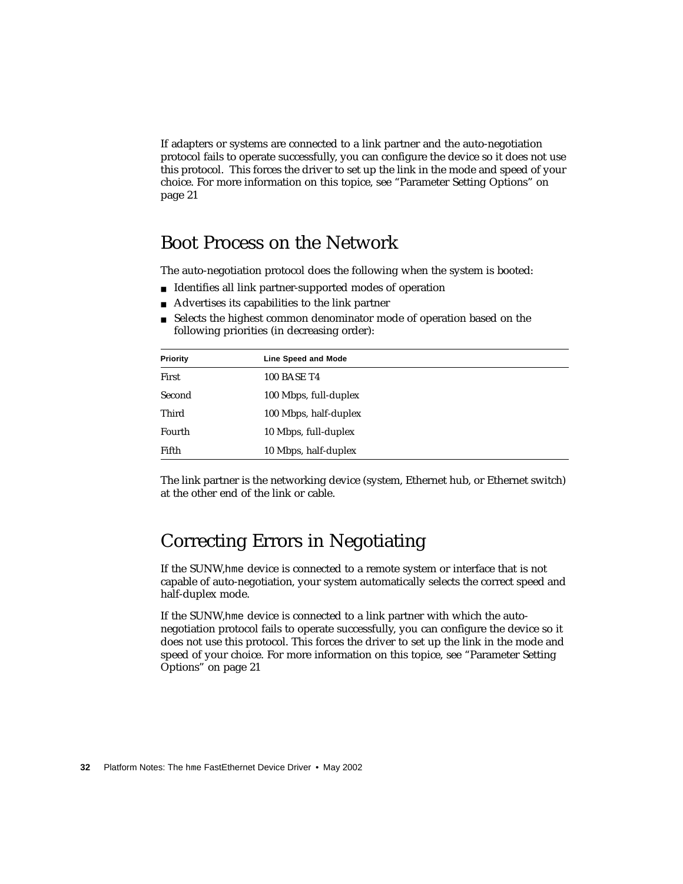If adapters or systems are connected to a link partner and the auto-negotiation protocol fails to operate successfully, you can configure the device so it does not use this protocol. This forces the driver to set up the link in the mode and speed of your choice. For more information on this topice, see ["Parameter Setting Options" on](#page-30-3) [page 21](#page-30-3)

### <span id="page-41-2"></span><span id="page-41-0"></span>Boot Process on the Network

The auto-negotiation protocol does the following when the system is booted:

- Identifies all link partner-supported modes of operation
- Advertises its capabilities to the link partner
- Selects the highest common denominator mode of operation based on the following priorities (in decreasing order):

| Priority | Line Speed and Mode   |  |
|----------|-----------------------|--|
| First    | <b>100 BASE T4</b>    |  |
| Second   | 100 Mbps, full-duplex |  |
| Third    | 100 Mbps, half-duplex |  |
| Fourth   | 10 Mbps, full-duplex  |  |
| Fifth    | 10 Mbps, half-duplex  |  |

The link partner is the networking device (system, Ethernet hub, or Ethernet switch) at the other end of the link or cable.

### <span id="page-41-3"></span><span id="page-41-1"></span>Correcting Errors in Negotiating

If the SUNW,hme device is connected to a remote system or interface that is not capable of auto-negotiation, your system automatically selects the correct speed and half-duplex mode.

If the SUNW,hme device is connected to a link partner with which the autonegotiation protocol fails to operate successfully, you can configure the device so it does not use this protocol. This forces the driver to set up the link in the mode and speed of your choice. For more information on this topice, see ["Parameter Setting](#page-30-3) [Options" on page 21](#page-30-3)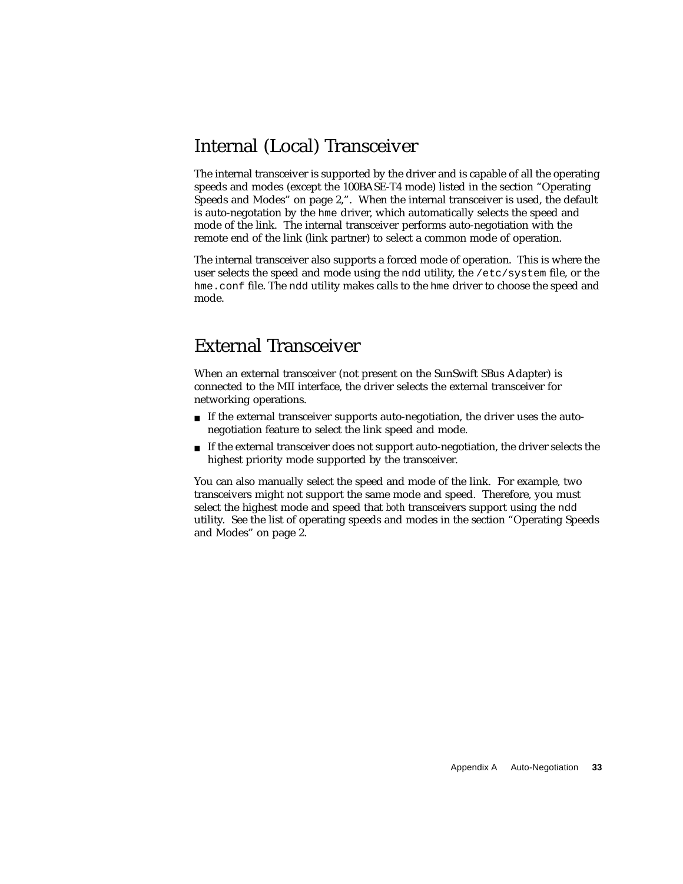## <span id="page-42-3"></span><span id="page-42-0"></span>Internal (Local) Transceiver

The internal transceiver is supported by the driver and is capable of all the operating speeds and modes (except the 100BASE-T4 mode) listed in the section ["Operating](#page-11-2) [Speeds and Modes" on page 2,](#page-11-2)". When the internal transceiver is used, the default is auto-negotation by the hme driver, which automatically selects the speed and mode of the link. The internal transceiver performs auto-negotiation with the remote end of the link (link partner) to select a common mode of operation.

The internal transceiver also supports a forced mode of operation. This is where the user selects the speed and mode using the ndd utility, the /etc/system file, or the hme.conf file. The ndd utility makes calls to the hme driver to choose the speed and mode.

### <span id="page-42-2"></span><span id="page-42-1"></span>External Transceiver

When an external transceiver (not present on the SunSwift SBus Adapter) is connected to the MII interface, the driver selects the external transceiver for networking operations.

- If the external transceiver supports auto-negotiation, the driver uses the autonegotiation feature to select the link speed and mode.
- If the external transceiver does not support auto-negotiation, the driver selects the highest priority mode supported by the transceiver.

You can also manually select the speed and mode of the link. For example, two transceivers might not support the same mode and speed. Therefore, you must select the highest mode and speed that *both* transceivers support using the ndd utility. See the list of operating speeds and modes in the section ["Operating Speeds](#page-11-2) [and Modes" on page 2.](#page-11-2)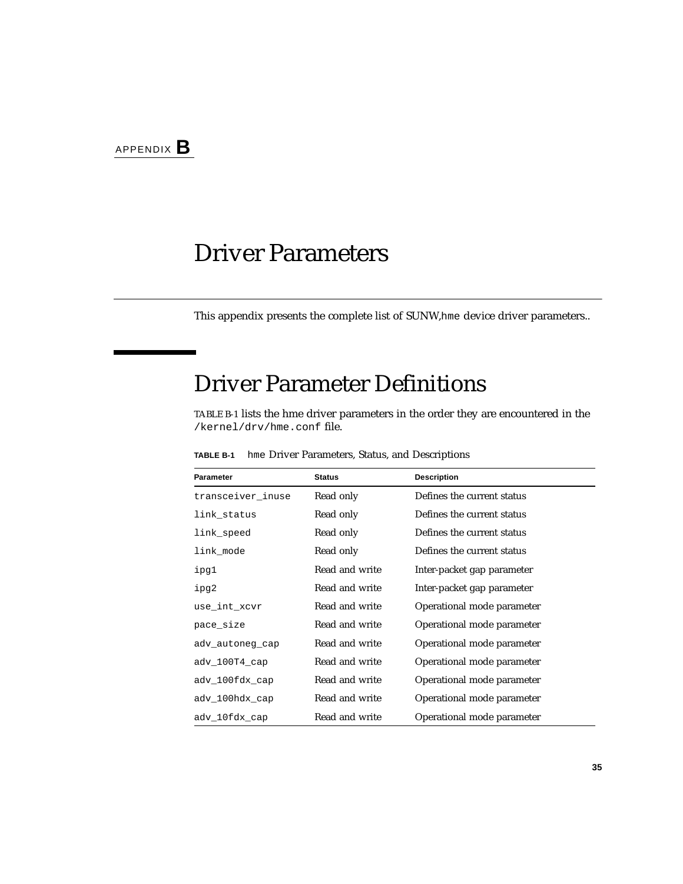# <span id="page-44-2"></span><span id="page-44-0"></span>Driver Parameters

This appendix presents the complete list of SUNW,hme device driver parameters..

# <span id="page-44-1"></span>Driver Parameter Definitions

<span id="page-44-3"></span>[TABLE B-1](#page-44-3) lists the hme driver parameters in the order they are encountered in the /kernel/drv/hme.conf file.

| <b>Status</b><br><b>Parameter</b> |                | <b>Description</b>         |  |  |
|-----------------------------------|----------------|----------------------------|--|--|
| transceiver_inuse                 | Read only      | Defines the current status |  |  |
| link_status                       | Read only      | Defines the current status |  |  |
| link_speed                        | Read only      | Defines the current status |  |  |
| link_mode                         | Read only      | Defines the current status |  |  |
| ipgl                              | Read and write | Inter-packet gap parameter |  |  |
| ipg2                              | Read and write | Inter-packet gap parameter |  |  |
| use_int_xcvr                      | Read and write | Operational mode parameter |  |  |
| pace_size                         | Read and write | Operational mode parameter |  |  |
| adv_autoneg_cap                   | Read and write | Operational mode parameter |  |  |
| $adv_100T4$ cap                   | Read and write | Operational mode parameter |  |  |
| adv_100fdx_cap                    | Read and write | Operational mode parameter |  |  |
| adv_100hdx_cap                    | Read and write | Operational mode parameter |  |  |
| adv_10fdx_cap                     | Read and write | Operational mode parameter |  |  |

**TABLE B-1** hme Driver Parameters, Status, and Descriptions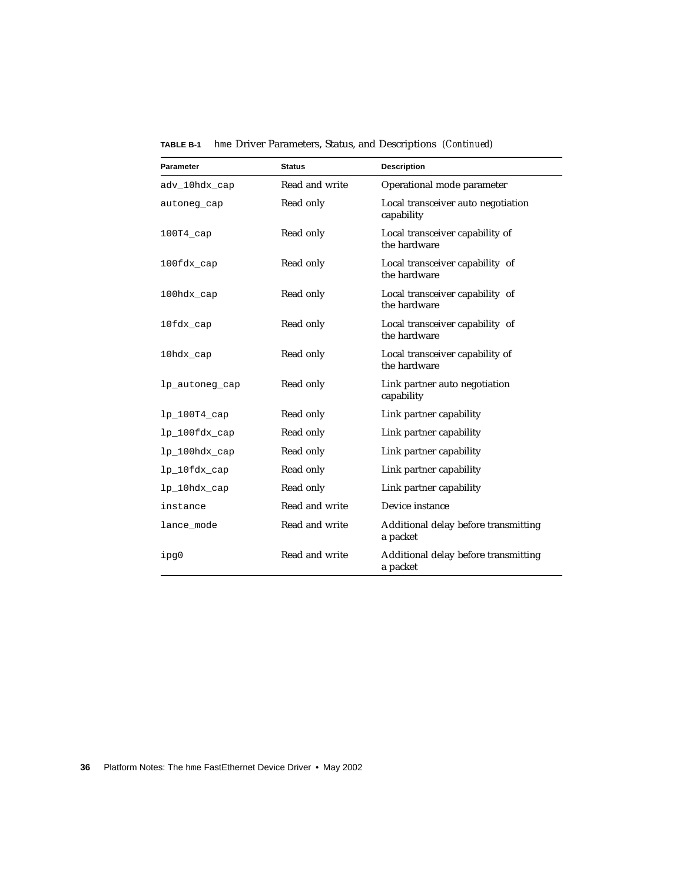| <b>Parameter</b> | <b>Status</b>  | <b>Description</b>                               |
|------------------|----------------|--------------------------------------------------|
| adv_10hdx_cap    | Read and write | Operational mode parameter                       |
| autoneg_cap      | Read only      | Local transceiver auto negotiation<br>capability |
| 100T4_cap        | Read only      | Local transceiver capability of<br>the hardware  |
| 100fdx_cap       | Read only      | Local transceiver capability of<br>the hardware  |
| 100hdx_cap       | Read only      | Local transceiver capability of<br>the hardware  |
| $10fdx$ cap      | Read only      | Local transceiver capability of<br>the hardware  |
| 10hdx_cap        | Read only      | Local transceiver capability of<br>the hardware  |
| lp_autoneg_cap   | Read only      | Link partner auto negotiation<br>capability      |
| $lp_100T4_cap$   | Read only      | Link partner capability                          |
| $lp_100fdx_cap$  | Read only      | Link partner capability                          |
| lp_100hdx_cap    | Read only      | Link partner capability                          |
| lp_10fdx_cap     | Read only      | Link partner capability                          |
| lp_10hdx_cap     | Read only      | Link partner capability                          |
| instance         | Read and write | Device instance                                  |
| lance_mode       | Read and write | Additional delay before transmitting<br>a packet |
| ipg0             | Read and write | Additional delay before transmitting<br>a packet |

**TABLE B-1** hme Driver Parameters, Status, and Descriptions *(Continued)*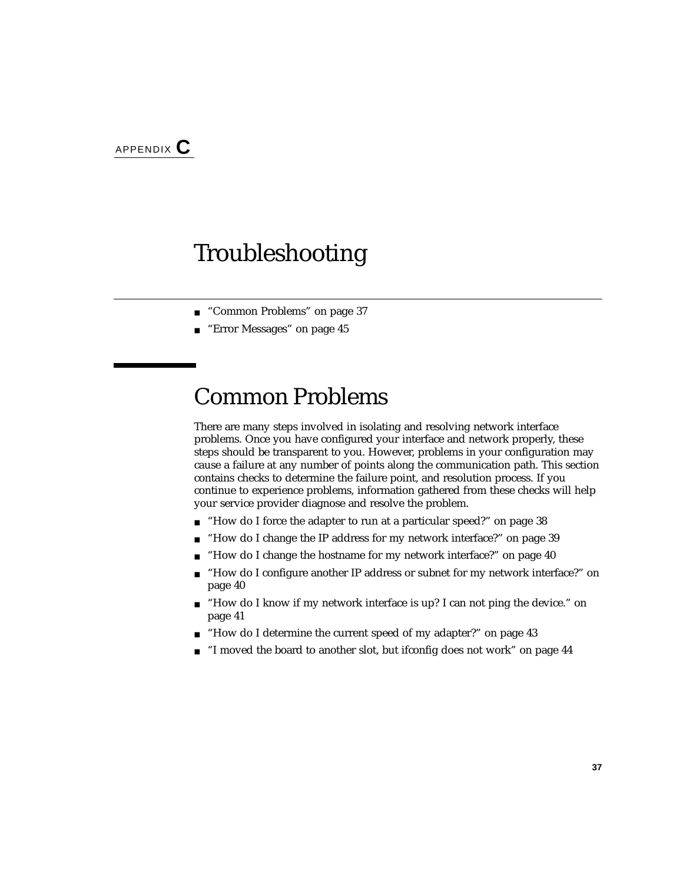# <span id="page-46-2"></span><span id="page-46-0"></span>Troubleshooting

- ["Common Problems" on page 37](#page-46-1)
- ["Error Messages" on page 45](#page-54-0)

# <span id="page-46-1"></span>Common Problems

There are many steps involved in isolating and resolving network interface problems. Once you have configured your interface and network properly, these steps should be transparent to you. However, problems in your configuration may cause a failure at any number of points along the communication path. This section contains checks to determine the failure point, and resolution process. If you continue to experience problems, information gathered from these checks will help your service provider diagnose and resolve the problem.

- ["How do I force the adapter to run at a particular speed?" on page 38](#page-47-0)
- ["How do I change the IP address for my network interface?" on page 39](#page-48-0)
- ["How do I change the hostname for my network interface?" on page 40](#page-49-0)
- ["How do I configure another IP address or subnet for my network interface?" on](#page-49-1) [page 40](#page-49-1)
- ["How do I know if my network interface is up? I can not ping the device." on](#page-50-0) [page 41](#page-50-0)
- ["How do I determine the current speed of my adapter?" on page 43](#page-52-0)
- ["I moved the board to another slot, but ifconfig does not work" on page 44](#page-53-0)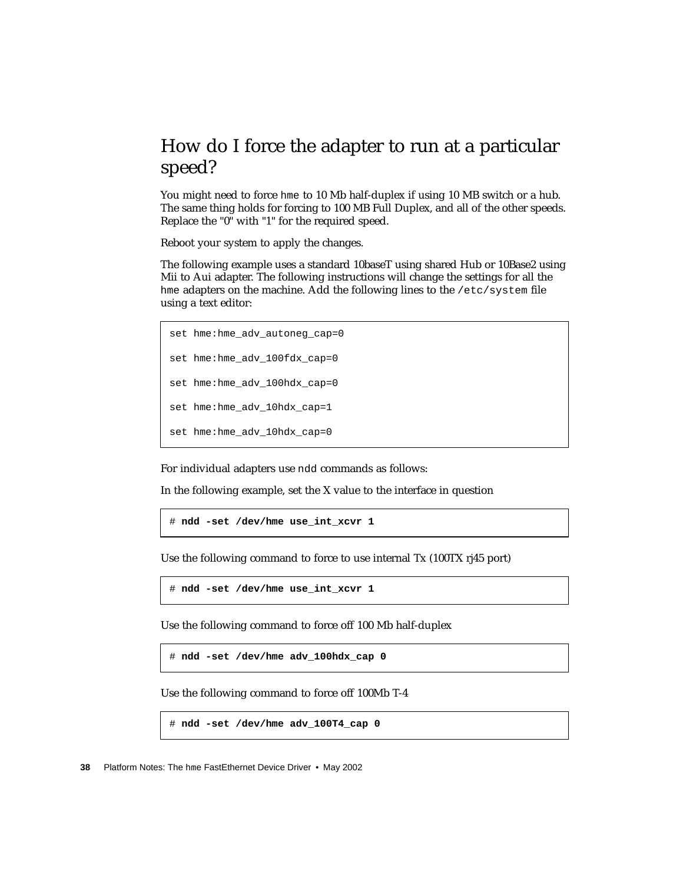## <span id="page-47-0"></span>How do I force the adapter to run at a particular speed?

You might need to force hme to 10 Mb half-duplex if using 10 MB switch or a hub. The same thing holds for forcing to 100 MB Full Duplex, and all of the other speeds. Replace the "0" with "1" for the required speed.

Reboot your system to apply the changes.

The following example uses a standard 10baseT using shared Hub or 10Base2 using Mii to Aui adapter. The following instructions will change the settings for all the hme adapters on the machine. Add the following lines to the /etc/system file using a text editor:

```
set hme:hme_adv_autoneg_cap=0
set hme:hme_adv_100fdx_cap=0
set hme: hme adv 100hdx cap=0
set hme:hme_adv_10hdx_cap=1
set hme:hme_adv_10hdx_cap=0
```
For individual adapters use ndd commands as follows:

In the following example, set the X value to the interface in question

# **ndd -set /dev/hme use\_int\_xcvr 1**

Use the following command to force to use internal Tx (100TX rj45 port)

# **ndd -set /dev/hme use\_int\_xcvr 1**

Use the following command to force off 100 Mb half-duplex

# **ndd -set /dev/hme adv\_100hdx\_cap 0**

Use the following command to force off 100Mb T-4

```
# ndd -set /dev/hme adv_100T4_cap 0
```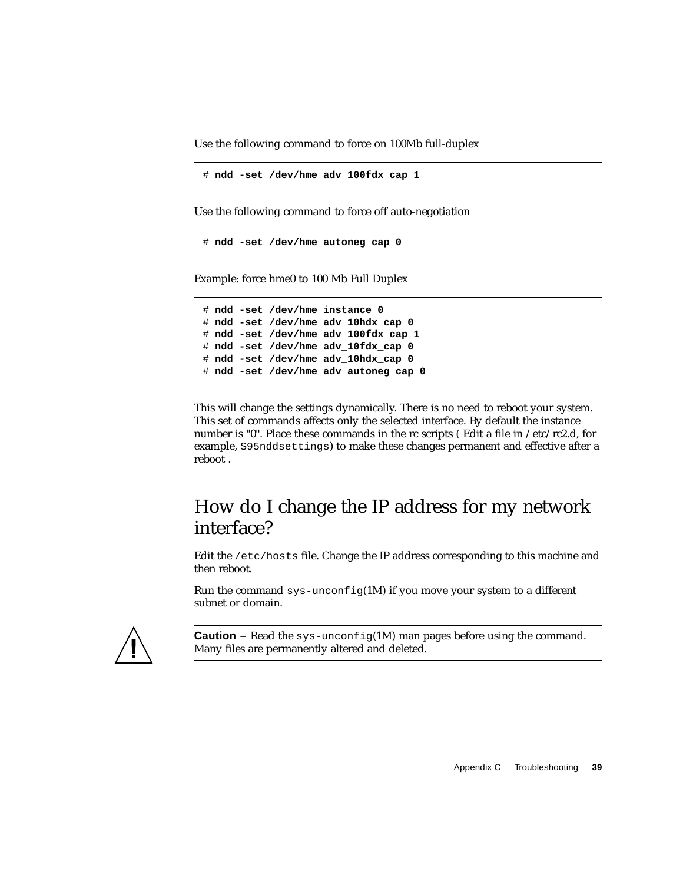Use the following command to force on 100Mb full-duplex

```
# ndd -set /dev/hme adv_100fdx_cap 1
```
Use the following command to force off auto-negotiation

```
# ndd -set /dev/hme autoneg_cap 0
```
Example: force hme0 to 100 Mb Full Duplex

```
# ndd -set /dev/hme instance 0
# ndd -set /dev/hme adv_10hdx_cap 0
# ndd -set /dev/hme adv_100fdx_cap 1
# ndd -set /dev/hme adv_10fdx_cap 0
# ndd -set /dev/hme adv_10hdx_cap 0
# ndd -set /dev/hme adv_autoneg_cap 0
```
This will change the settings dynamically. There is no need to reboot your system. This set of commands affects only the selected interface. By default the instance number is "0". Place these commands in the rc scripts ( Edit a file in /etc/rc2.d, for example, S95nddsettings) to make these changes permanent and effective after a reboot .

### <span id="page-48-0"></span>How do I change the IP address for my network interface?

Edit the /etc/hosts file. Change the IP address corresponding to this machine and then reboot.

Run the command  $sys$ -unconfig(1M) if you move your system to a different subnet or domain.



**Caution –** Read the sys-unconfig(1M) man pages before using the command. Many files are permanently altered and deleted.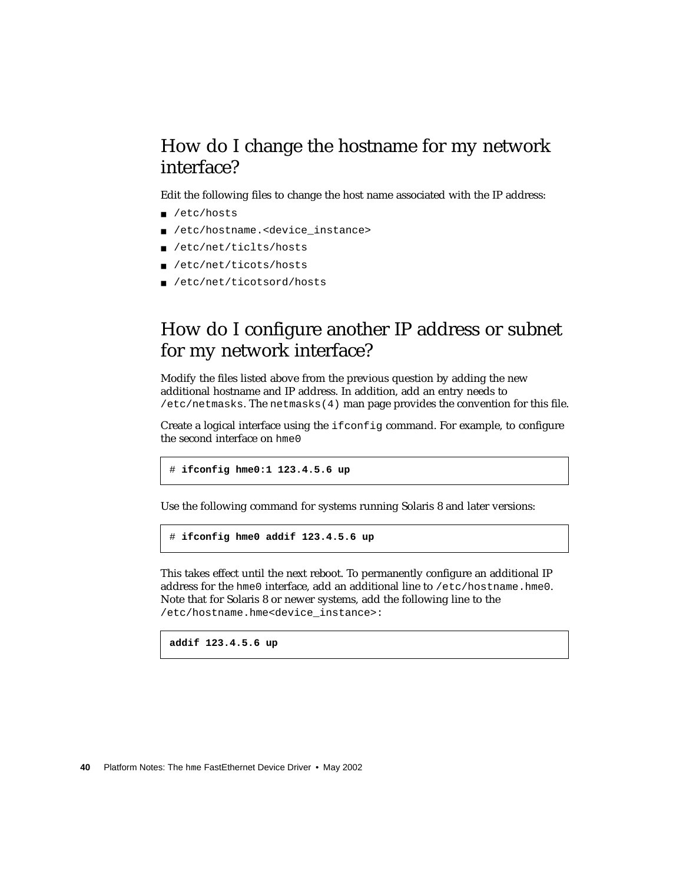## <span id="page-49-0"></span>How do I change the hostname for my network interface?

Edit the following files to change the host name associated with the IP address:

- /etc/hosts
- /etc/hostname.<device\_instance>
- /etc/net/ticlts/hosts
- /etc/net/ticots/hosts
- /etc/net/ticotsord/hosts

### <span id="page-49-1"></span>How do I configure another IP address or subnet for my network interface?

Modify the files listed above from the previous question by adding the new additional hostname and IP address. In addition, add an entry needs to /etc/netmasks. The netmasks(4) man page provides the convention for this file.

Create a logical interface using the ifconfig command. For example, to configure the second interface on hme0

```
# ifconfig hme0:1 123.4.5.6 up
```
Use the following command for systems running Solaris 8 and later versions:

```
# ifconfig hme0 addif 123.4.5.6 up
```
This takes effect until the next reboot. To permanently configure an additional IP address for the hme0 interface, add an additional line to /etc/hostname.hme0. Note that for Solaris 8 or newer systems, add the following line to the /etc/hostname.hme<device\_instance>:

**addif 123.4.5.6 up**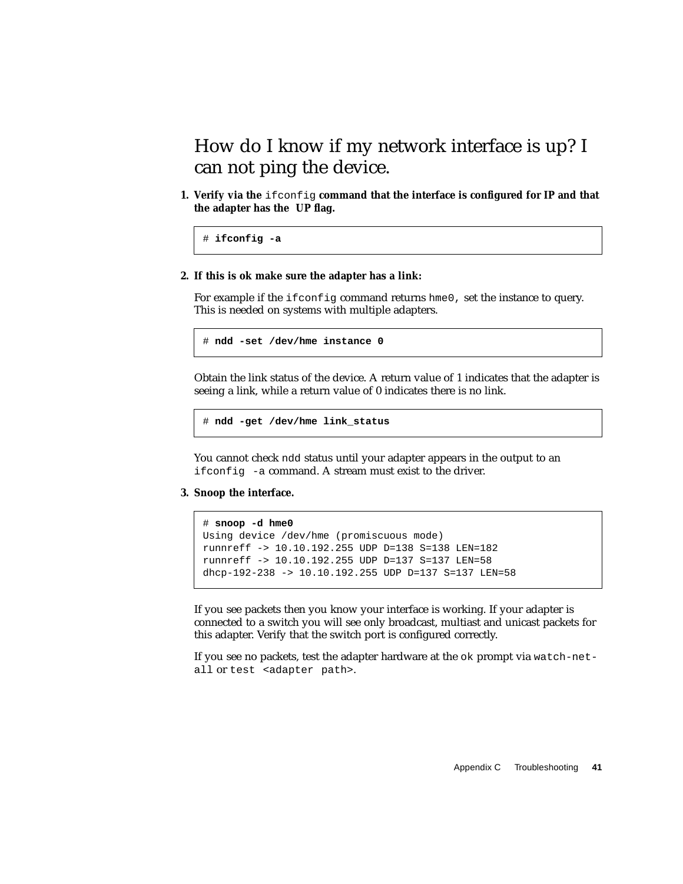## <span id="page-50-0"></span>How do I know if my network interface is up? I can not ping the device.

**1. Verify via the** ifconfig **command that the interface is configured for IP and that the adapter has the UP flag.**

# **ifconfig -a**

#### **2. If this is ok make sure the adapter has a link:**

For example if the ifconfig command returns hme0, set the instance to query. This is needed on systems with multiple adapters.

# **ndd -set /dev/hme instance 0**

Obtain the link status of the device. A return value of 1 indicates that the adapter is seeing a link, while a return value of 0 indicates there is no link.

# **ndd -get /dev/hme link\_status**

You cannot check ndd status until your adapter appears in the output to an ifconfig -a command. A stream must exist to the driver.

#### **3. Snoop the interface.**

```
# snoop -d hme0
Using device /dev/hme (promiscuous mode)
runnreff -> 10.10.192.255 UDP D=138 S=138 LEN=182
runnreff -> 10.10.192.255 UDP D=137 S=137 LEN=58
dhcp-192-238 -> 10.10.192.255 UDP D=137 S=137 LEN=58
```
If you see packets then you know your interface is working. If your adapter is connected to a switch you will see only broadcast, multiast and unicast packets for this adapter. Verify that the switch port is configured correctly.

If you see no packets, test the adapter hardware at the ok prompt via watch-netall or test <adapter path>.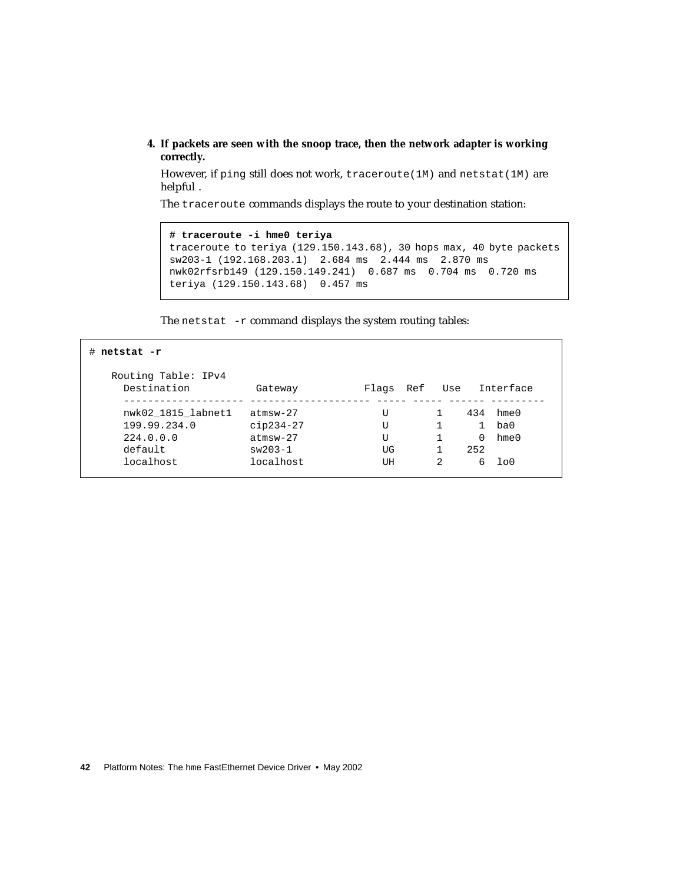**4. If packets are seen with the snoop trace, then the network adapter is working correctly.**

However, if ping still does not work, traceroute(1M) and netstat(1M) are helpful .

The traceroute commands displays the route to your destination station:

**# traceroute -i hme0 teriya** traceroute to teriya (129.150.143.68), 30 hops max, 40 byte packets sw203-1 (192.168.203.1) 2.684 ms 2.444 ms 2.870 ms nwk02rfsrb149 (129.150.149.241) 0.687 ms 0.704 ms 0.720 ms teriya (129.150.143.68) 0.457 ms

The netstat  $-r$  command displays the system routing tables:

| $#$ netstat $-r$ |  |  |
|------------------|--|--|
|------------------|--|--|

| Routing Table: IPv4<br>Destination                                      | Gateway                                                             | Flaqs                      | Ref<br>Use |                             | Interface                                   |
|-------------------------------------------------------------------------|---------------------------------------------------------------------|----------------------------|------------|-----------------------------|---------------------------------------------|
| nwk02 1815 labnet1<br>199.99.234.0<br>224.0.0.0<br>defailt<br>localhost | $atmsw-27$<br>$cip234-27$<br>$atmsw-27$<br>$sw203 - 1$<br>localhost | ŢŢ<br>ŢJ<br>ŢJ<br>UG<br>UН | 2          | 434<br>$\Omega$<br>252<br>h | $h$ me $\Omega$<br>ba0<br>$h$ me $0$<br>ിറി |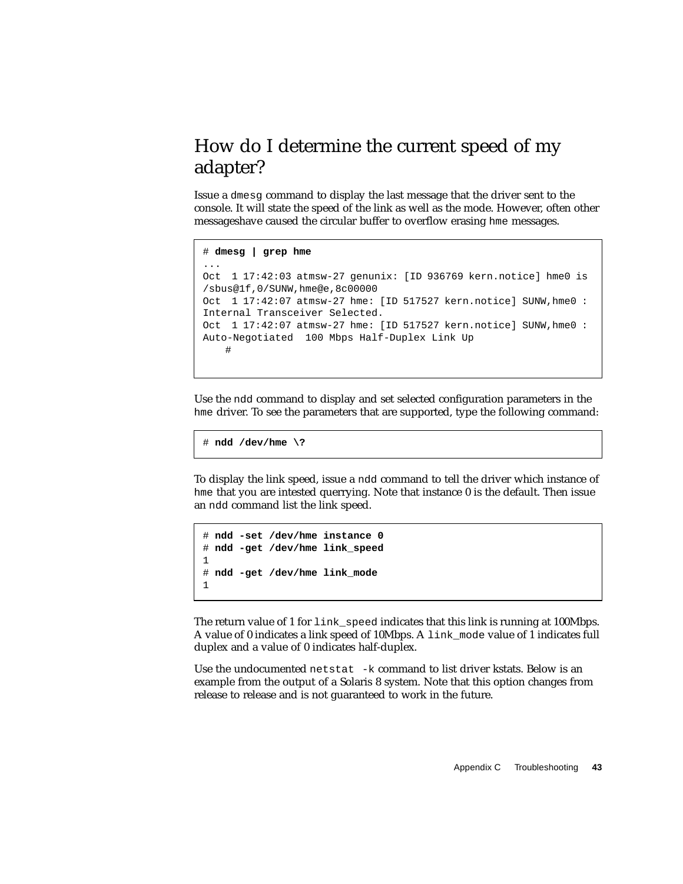## <span id="page-52-0"></span>How do I determine the current speed of my adapter?

Issue a dmesg command to display the last message that the driver sent to the console. It will state the speed of the link as well as the mode. However, often other messageshave caused the circular buffer to overflow erasing hme messages.

```
# dmesg | grep hme
...
Oct 1 17:42:03 atmsw-27 genunix: [ID 936769 kern.notice] hme0 is
/sbus@1f,0/SUNW,hme@e,8c00000
Oct 1 17:42:07 atmsw-27 hme: [ID 517527 kern.notice] SUNW,hme0 :
Internal Transceiver Selected.
Oct 1 17:42:07 atmsw-27 hme: [ID 517527 kern.notice] SUNW,hme0 :
Auto-Negotiated 100 Mbps Half-Duplex Link Up
   #
```
Use the ndd command to display and set selected configuration parameters in the hme driver. To see the parameters that are supported, type the following command:

# **ndd /dev/hme \?**

To display the link speed, issue a ndd command to tell the driver which instance of hme that you are intested querrying. Note that instance 0 is the default. Then issue an ndd command list the link speed.

```
# ndd -set /dev/hme instance 0
# ndd -get /dev/hme link_speed
1
# ndd -get /dev/hme link_mode
1
```
The return value of 1 for link speed indicates that this link is running at 100Mbps. A value of 0 indicates a link speed of 10Mbps. A link\_mode value of 1 indicates full duplex and a value of 0 indicates half-duplex.

Use the undocumented netstat -k command to list driver kstats. Below is an example from the output of a Solaris 8 system. Note that this option changes from release to release and is not guaranteed to work in the future.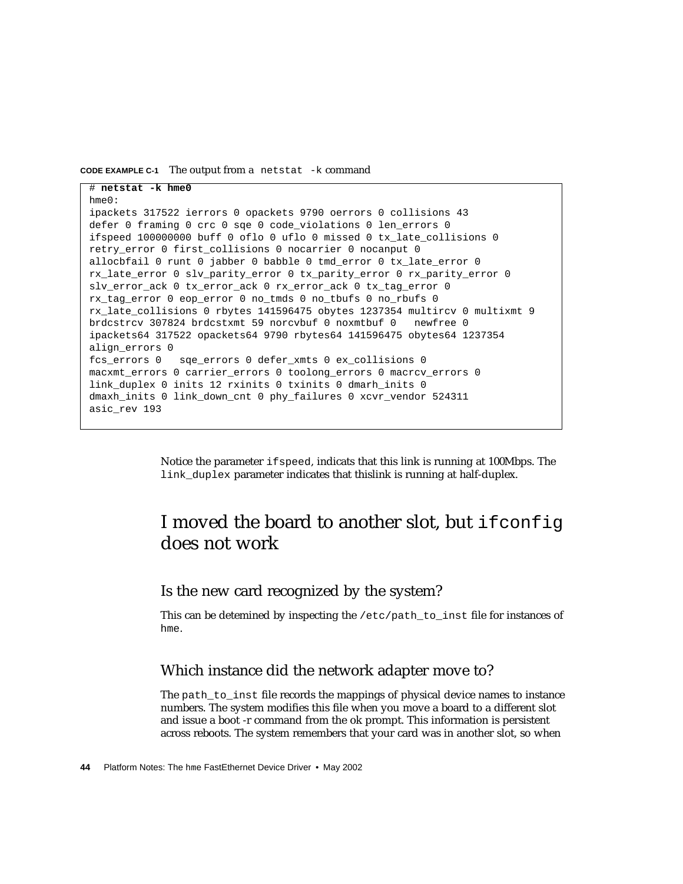**CODE EXAMPLE C-1** The output from a netstat -k command

```
# netstat -k hme0
hme0:
ipackets 317522 ierrors 0 opackets 9790 oerrors 0 collisions 43
defer 0 framing 0 crc 0 sqe 0 code_violations 0 len_errors 0
ifspeed 100000000 buff 0 oflo 0 uflo 0 missed 0 tx_late_collisions 0
retry_error 0 first_collisions 0 nocarrier 0 nocanput 0
allocbfail 0 runt 0 jabber 0 babble 0 tmd_error 0 tx_late_error 0
rx late error 0 slv parity error 0 tx parity error 0 rx parity error 0
slv_error_ack 0 tx_error_ack 0 rx_error_ack 0 tx_tag_error 0
rx_tag_error 0 eop_error 0 no_tmds 0 no_tbufs 0 no_rbufs 0
rx_late_collisions 0 rbytes 141596475 obytes 1237354 multircv 0 multixmt 9
brdcstrcv 307824 brdcstxmt 59 norcvbuf 0 noxmtbuf 0 newfree 0
ipackets64 317522 opackets64 9790 rbytes64 141596475 obytes64 1237354
align_errors 0
fcs_errors 0 sqe_errors 0 defer_xmts 0 ex_collisions 0
macxmt_errors 0 carrier_errors 0 toolong_errors 0 macrcv_errors 0
link duplex 0 inits 12 rxinits 0 txinits 0 dmarh inits 0
dmaxh_inits 0 link_down_cnt 0 phy_failures 0 xcvr_vendor 524311
asic_rev 193
```
Notice the parameter ifspeed, indicats that this link is running at 100Mbps. The link\_duplex parameter indicates that thislink is running at half-duplex.

### <span id="page-53-0"></span>I moved the board to another slot, but ifconfig does not work

#### <span id="page-53-1"></span>Is the new card recognized by the system?

This can be detemined by inspecting the /etc/path to inst file for instances of hme.

#### <span id="page-53-2"></span>Which instance did the network adapter move to?

The path\_to\_inst file records the mappings of physical device names to instance numbers. The system modifies this file when you move a board to a different slot and issue a boot -r command from the ok prompt. This information is persistent across reboots. The system remembers that your card was in another slot, so when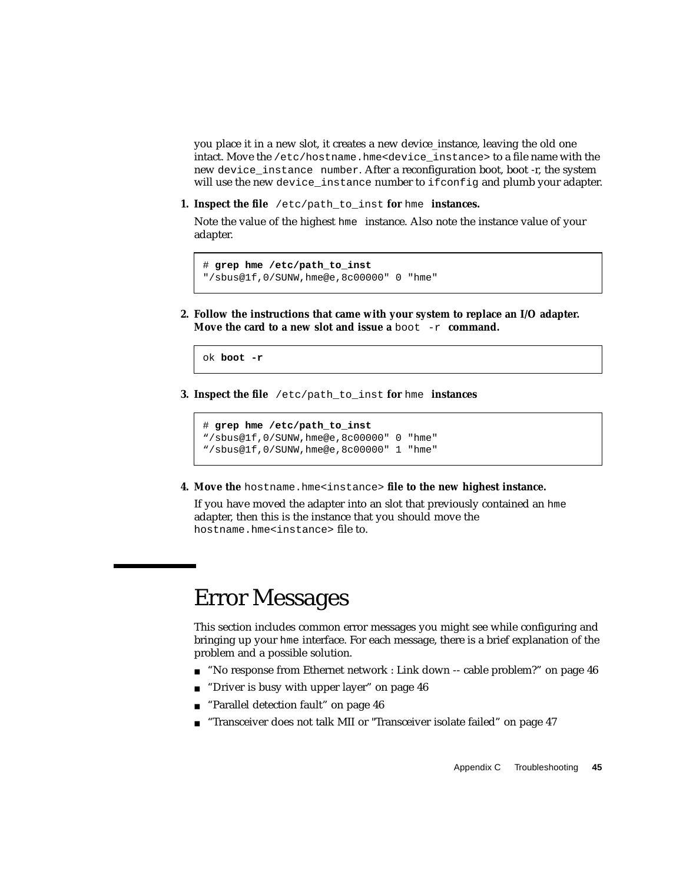you place it in a new slot, it creates a new device\_instance, leaving the old one intact. Move the /etc/hostname.hme<device\_instance> to a file name with the new device instance number. After a reconfiguration boot, boot -r, the system will use the new device\_instance number to ifconfig and plumb your adapter.

**1. Inspect the file** /etc/path\_to\_inst **for** hme **instances.**

Note the value of the highest hme instance. Also note the instance value of your adapter.

```
# grep hme /etc/path_to_inst
"/sbus@1f,0/SUNW,hme@e,8c00000" 0 "hme"
```
**2. Follow the instructions that came with your system to replace an I/O adapter. Move the card to a new slot and issue a** boot  $-r$  **command.** 

ok **boot -r**

**3. Inspect the file** /etc/path\_to\_inst **for** hme **instances**

```
# grep hme /etc/path_to_inst
"/sbus@1f,0/SUNW,hme@e,8c00000" 0 "hme"
"/sbus@1f,0/SUNW,hme@e,8c00000" 1 "hme"
```
**4. Move the** hostname.hme<instance> **file to the new highest instance.**

If you have moved the adapter into an slot that previously contained an hme adapter, then this is the instance that you should move the hostname.hme<instance> file to.

## <span id="page-54-0"></span>Error Messages

This section includes common error messages you might see while configuring and bringing up your hme interface. For each message, there is a brief explanation of the problem and a possible solution.

- ["No response from Ethernet network : Link down -- cable problem?" on page 46](#page-55-0)
- ["Driver is busy with upper layer" on page 46](#page-55-1)
- ["Parallel detection fault" on page 46](#page-55-2)
- ["Transceiver does not talk MII or "Transceiver isolate failed" on page 47](#page-56-0)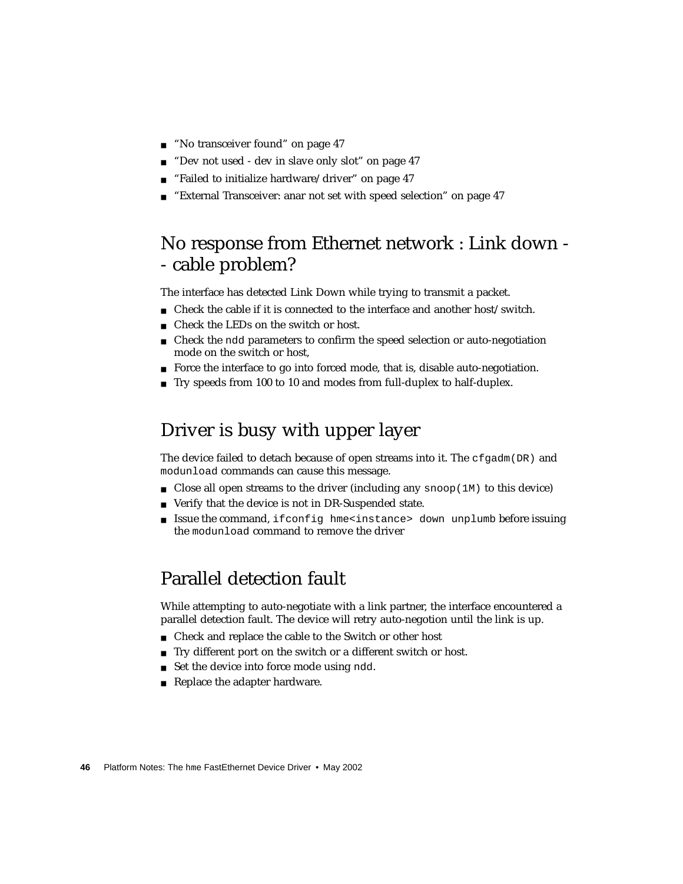- ["No transceiver found" on page 47](#page-56-1)
- ["Dev not used dev in slave only slot" on page 47](#page-56-2)
- ["Failed to initialize hardware/driver" on page 47](#page-56-3)
- ["External Transceiver: anar not set with speed selection" on page 47](#page-56-4)

## <span id="page-55-0"></span>No response from Ethernet network : Link down - - cable problem?

The interface has detected Link Down while trying to transmit a packet.

- Check the cable if it is connected to the interface and another host/switch.
- Check the LEDs on the switch or host.
- Check the ndd parameters to confirm the speed selection or auto-negotiation mode on the switch or host,
- Force the interface to go into forced mode, that is, disable auto-negotiation.
- Try speeds from 100 to 10 and modes from full-duplex to half-duplex.

### <span id="page-55-1"></span>Driver is busy with upper layer

The device failed to detach because of open streams into it. The  $cf$ gadm(DR) and modunload commands can cause this message.

- Close all open streams to the driver (including any  $\text{smooth}(1M)$  to this device)
- Verify that the device is not in DR-Suspended state.
- Issue the command, if config hme<instance> down unplumb before issuing the modunload command to remove the driver

### <span id="page-55-2"></span>Parallel detection fault

While attempting to auto-negotiate with a link partner, the interface encountered a parallel detection fault. The device will retry auto-negotion until the link is up.

- Check and replace the cable to the Switch or other host
- Try different port on the switch or a different switch or host.
- Set the device into force mode using ndd.
- Replace the adapter hardware.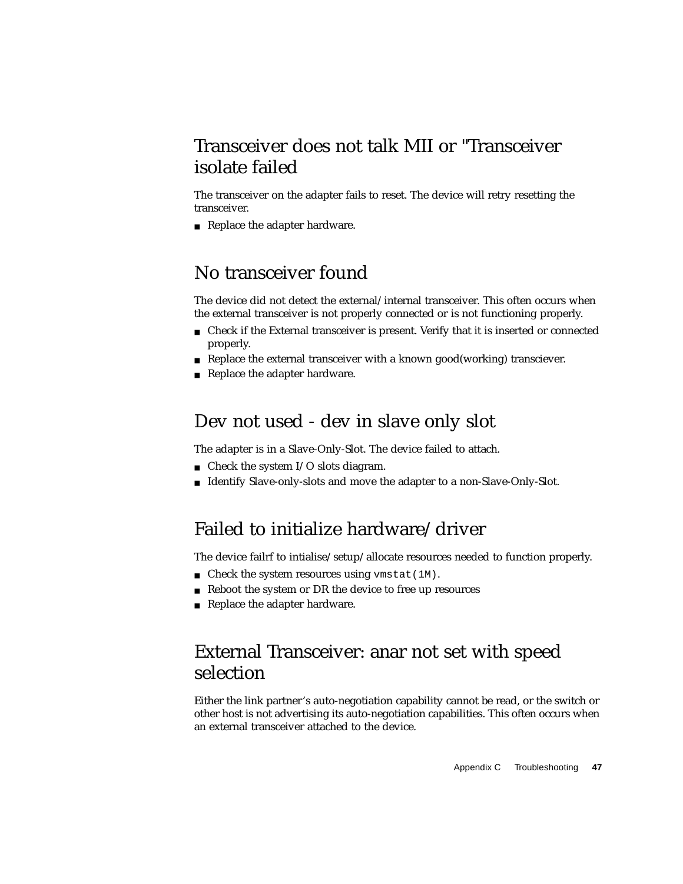## <span id="page-56-0"></span>Transceiver does not talk MII or "Transceiver isolate failed

The transceiver on the adapter fails to reset. The device will retry resetting the transceiver.

■ Replace the adapter hardware.

### <span id="page-56-1"></span>No transceiver found

The device did not detect the external/internal transceiver. This often occurs when the external transceiver is not properly connected or is not functioning properly.

- Check if the External transceiver is present. Verify that it is inserted or connected properly.
- Replace the external transceiver with a known good(working) transciever.
- Replace the adapter hardware.

### <span id="page-56-2"></span>Dev not used - dev in slave only slot

The adapter is in a Slave-Only-Slot. The device failed to attach.

- Check the system I/O slots diagram.
- Identify Slave-only-slots and move the adapter to a non-Slave-Only-Slot.

### <span id="page-56-3"></span>Failed to initialize hardware/driver

The device failrf to intialise/setup/allocate resources needed to function properly.

- Check the system resources using  $vmstat(1M)$ .
- Reboot the system or DR the device to free up resources
- Replace the adapter hardware.

## <span id="page-56-4"></span>External Transceiver: anar not set with speed selection

Either the link partner's auto-negotiation capability cannot be read, or the switch or other host is not advertising its auto-negotiation capabilities. This often occurs when an external transceiver attached to the device.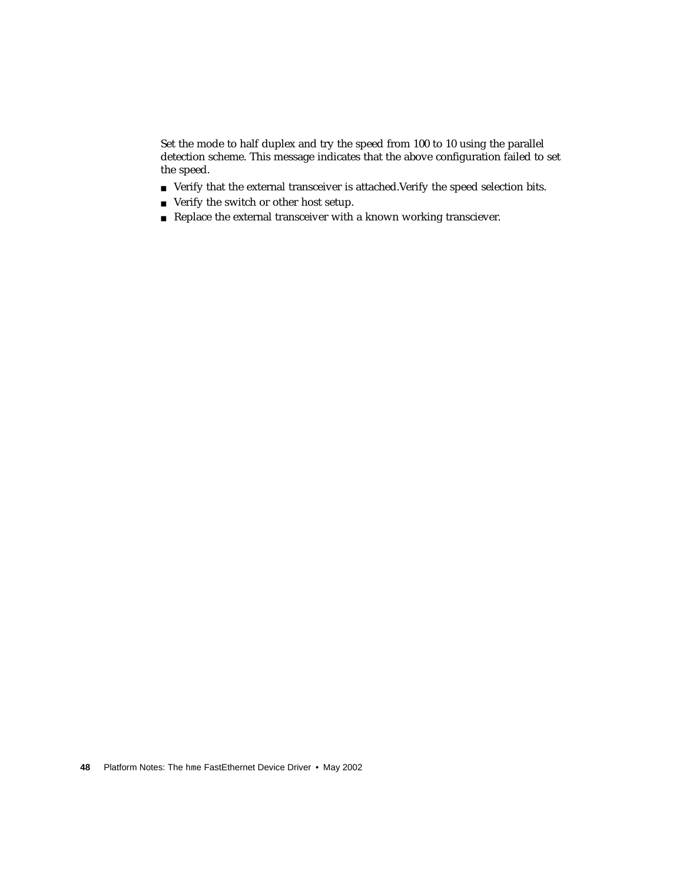Set the mode to half duplex and try the speed from 100 to 10 using the parallel detection scheme. This message indicates that the above configuration failed to set the speed.

- Verify that the external transceiver is attached. Verify the speed selection bits.
- Verify the switch or other host setup.
- Replace the external transceiver with a known working transciever.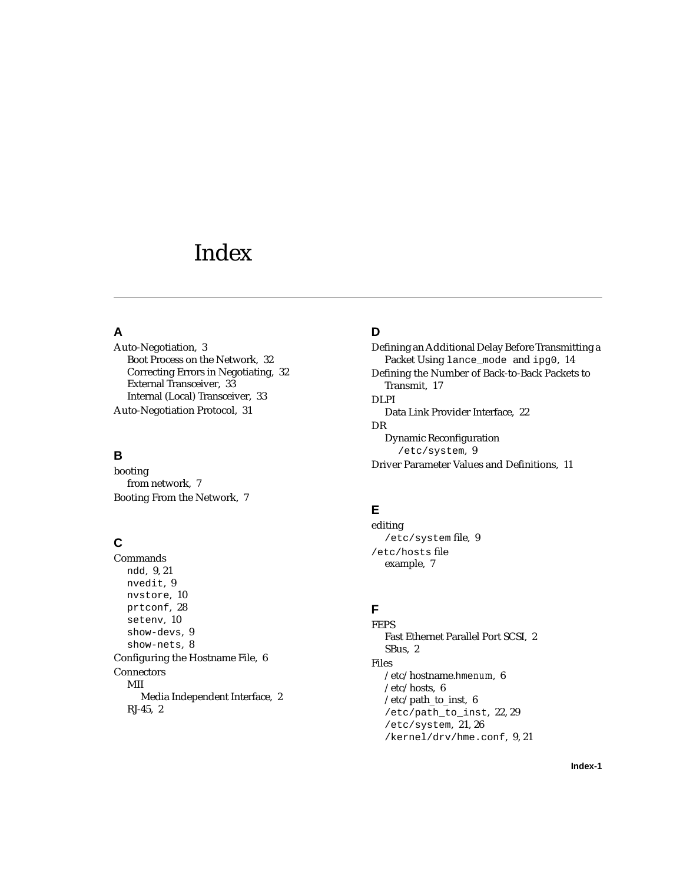# <span id="page-58-0"></span>Index

#### **A**

[Auto-Negotiation, 3](#page-12-1) [Boot Process on the Network, 32](#page-41-2) [Correcting Errors in Negotiating, 32](#page-41-3) [External Transceiver, 33](#page-42-2) [Internal \(Local\) Transceiver, 33](#page-42-3) [Auto-Negotiation Protocol, 31](#page-40-3)

#### **B**

booting [from network, 7](#page-16-1) [Booting From the Network, 7](#page-16-2)

#### **C**

Commands ndd[, 9,](#page-18-1) [21](#page-30-4) nvedit[, 9](#page-18-2) nvstore[, 10](#page-19-1) prtconf[, 28](#page-37-0) setenv[, 10](#page-19-2) show-devs[, 9](#page-18-2) show-nets[, 8](#page-17-3) [Configuring the Hostname File, 6](#page-15-3) **Connectors** MII [Media Independent Interface, 2](#page-11-3) [RJ-45, 2](#page-11-4)

#### **D**

Defining an Additional Delay Before Transmitting a Packet Using lance\_mode and ipg0[, 14](#page-23-3) [Defining the Number of Back-to-Back Packets to](#page-26-4) Transmit, 17 DLPI [Data Link Provider Interface, 22](#page-31-4) DR Dynamic Reconfiguration /etc/system[, 9](#page-18-3) [Driver Parameter Values and Definitions, 11](#page-20-4)

#### **E**

```
editing
  /etc/system file, 9
/etc/hosts file
  example, 7
```
#### **F**

FEPS [Fast Ethernet Parallel Port SCSI, 2](#page-11-5) [SBus, 2](#page-11-5) Files /etc/hostname.hme*num*[, 6](#page-15-4) [/etc/hosts, 6](#page-15-5) [/etc/path\\_to\\_inst, 6](#page-15-6) /etc/path\_to\_inst[, 22,](#page-31-5) [29](#page-38-2) /etc/system[, 21,](#page-30-5) [26](#page-35-2) /kernel/drv/hme.conf[, 9,](#page-18-5) [21](#page-30-6)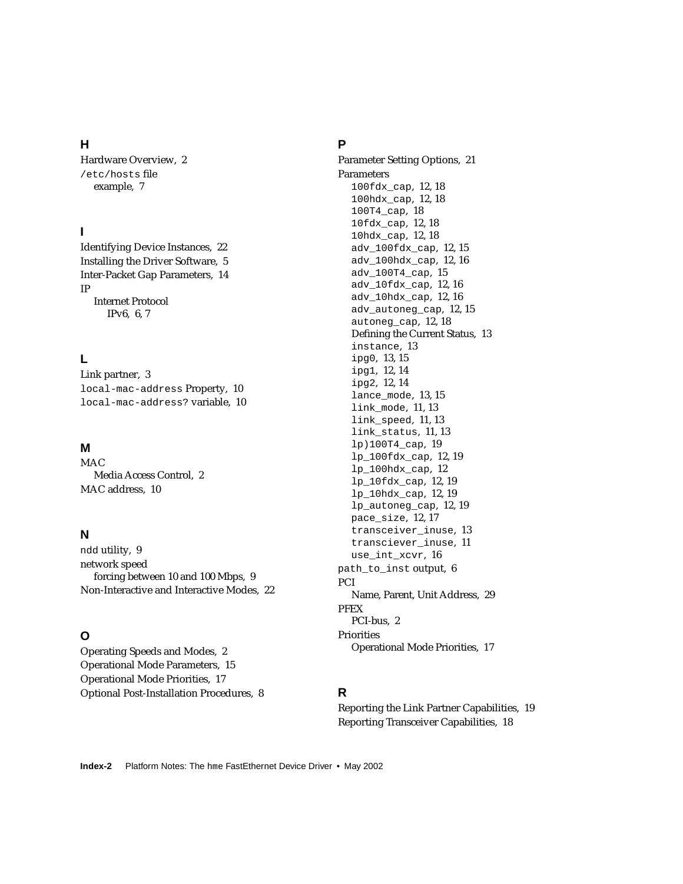#### **H**

[Hardware Overview, 2](#page-11-6) /etc/hosts file [example, 7](#page-16-3)

#### **I**

[Identifying Device Instances, 22](#page-31-6) [Installing the Driver Software, 5](#page-14-3) [Inter-Packet Gap Parameters, 14](#page-23-4) IP Internet Protocol [IPv6, 6,](#page-15-5) [7](#page-16-4)

#### **L**

[Link partner, 3](#page-12-2) local-mac-address [Property, 10](#page-19-3) local-mac-address? [variable, 10](#page-19-4)

#### **M**

**MAC** [Media Access Control, 2](#page-11-7) [MAC address, 10](#page-19-5)

#### **N**

ndd [utility, 9](#page-18-6) network speed [forcing between 10 and 100 Mbps, 9](#page-18-7) [Non-Interactive and Interactive Modes, 22](#page-31-7)

#### **O**

[Operating Speeds and Modes, 2](#page-11-2) [Operational Mode Parameters, 15](#page-24-3) [Operational Mode Priorities, 17](#page-26-5) [Optional Post-Installation Procedures, 8](#page-17-4)

#### **P**

[Parameter Setting Options, 21](#page-30-3) Parameters 100fdx\_cap[, 12,](#page-21-0) [18](#page-27-2) 100hdx\_cap[, 12,](#page-21-1) [18](#page-27-3) 100T4\_cap[, 18](#page-27-4) 10fdx\_cap[, 12,](#page-21-2) [18](#page-27-5) 10hdx\_cap[, 12,](#page-21-3) [18](#page-27-6) adv\_100fdx\_cap[, 12,](#page-21-4) [15](#page-24-4) adv\_100hdx\_cap[, 12,](#page-21-5) [16](#page-25-1) adv\_100T4\_cap[, 15](#page-24-5) adv\_10fdx\_cap[, 12,](#page-21-6) [16](#page-25-2) adv\_10hdx\_cap[, 12,](#page-21-7) [16](#page-25-3) adv\_autoneg\_cap[, 12,](#page-21-8) [15](#page-24-6) autoneg\_cap[, 12,](#page-21-9) [18](#page-27-7) [Defining the Current Status, 13](#page-22-3) instance[, 13](#page-22-4) ipg0[, 13,](#page-22-5) [15](#page-24-7) ipg1[, 12,](#page-21-10) [14](#page-23-5) ipg2[, 12,](#page-21-11) [14](#page-23-6) lance\_mode[, 13,](#page-22-6) [15](#page-24-8) link\_mode[, 11,](#page-20-5) [13](#page-22-7) link\_speed[, 11,](#page-20-6) [13](#page-22-8) link\_status[, 11,](#page-20-7) [13](#page-22-9) lp)100T4\_cap[, 19](#page-28-3) lp\_100fdx\_cap[, 12,](#page-21-12) [19](#page-28-4) lp\_100hdx\_cap[, 12](#page-21-13) lp\_10fdx\_cap[, 12,](#page-21-14) [19](#page-28-5) lp\_10hdx\_cap[, 12,](#page-21-15) [19](#page-28-6) lp\_autoneg\_cap[, 12,](#page-21-16) [19](#page-28-7) pace\_size[, 12,](#page-21-17) [17](#page-26-6) transceiver inuse[, 13](#page-22-10) transciever\_inuse[, 11](#page-20-8) use\_int\_xcvr[, 16](#page-25-4) path\_to\_inst [output, 6](#page-15-7) PCI [Name, Parent, Unit Address, 29](#page-38-3) PFEX [PCI-bus, 2](#page-11-8) **Priorities** [Operational Mode Priorities, 17](#page-26-5)

#### **R**

[Reporting the Link Partner Capabilities, 19](#page-28-8) [Reporting Transceiver Capabilities, 18](#page-27-8)